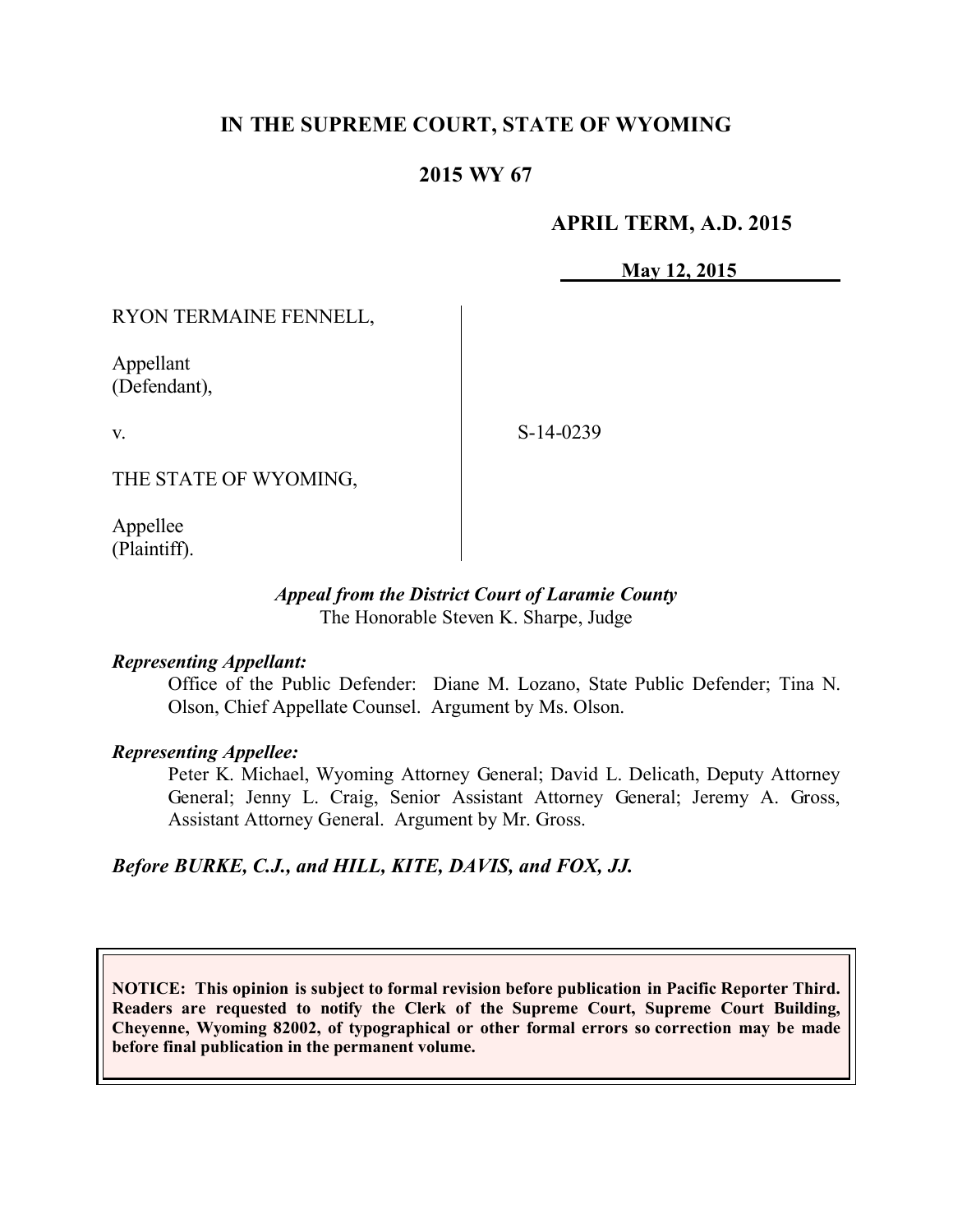# **IN THE SUPREME COURT, STATE OF WYOMING**

## **2015 WY 67**

### **APRIL TERM, A.D. 2015**

**May 12, 2015**

RYON TERMAINE FENNELL,

Appellant (Defendant),

v.

S-14-0239

THE STATE OF WYOMING,

Appellee (Plaintiff).

#### *Appeal from the District Court of Laramie County* The Honorable Steven K. Sharpe, Judge

### *Representing Appellant:*

Office of the Public Defender: Diane M. Lozano, State Public Defender; Tina N. Olson, Chief Appellate Counsel. Argument by Ms. Olson.

#### *Representing Appellee:*

Peter K. Michael, Wyoming Attorney General; David L. Delicath, Deputy Attorney General; Jenny L. Craig, Senior Assistant Attorney General; Jeremy A. Gross, Assistant Attorney General. Argument by Mr. Gross.

### *Before BURKE, C.J., and HILL, KITE, DAVIS, and FOX, JJ.*

**NOTICE: This opinion is subject to formal revision before publication in Pacific Reporter Third. Readers are requested to notify the Clerk of the Supreme Court, Supreme Court Building, Cheyenne, Wyoming 82002, of typographical or other formal errors so correction may be made before final publication in the permanent volume.**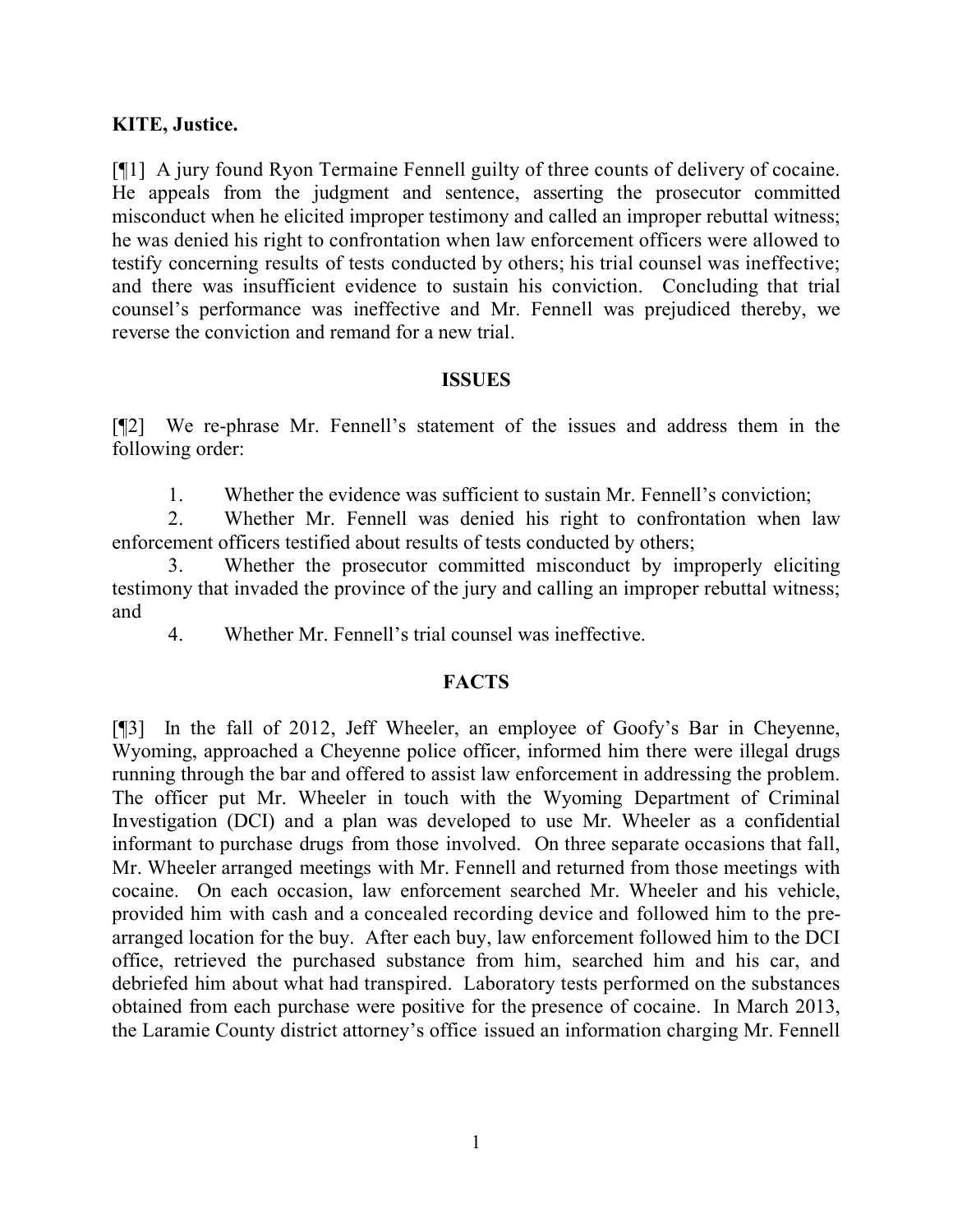### **KITE, Justice.**

[¶1] A jury found Ryon Termaine Fennell guilty of three counts of delivery of cocaine. He appeals from the judgment and sentence, asserting the prosecutor committed misconduct when he elicited improper testimony and called an improper rebuttal witness; he was denied his right to confrontation when law enforcement officers were allowed to testify concerning results of tests conducted by others; his trial counsel was ineffective; and there was insufficient evidence to sustain his conviction. Concluding that trial counsel's performance was ineffective and Mr. Fennell was prejudiced thereby, we reverse the conviction and remand for a new trial.

### **ISSUES**

[¶2] We re-phrase Mr. Fennell's statement of the issues and address them in the following order:

1. Whether the evidence was sufficient to sustain Mr. Fennell's conviction;

2. Whether Mr. Fennell was denied his right to confrontation when law enforcement officers testified about results of tests conducted by others;

3. Whether the prosecutor committed misconduct by improperly eliciting testimony that invaded the province of the jury and calling an improper rebuttal witness; and

4. Whether Mr. Fennell's trial counsel was ineffective.

### **FACTS**

[¶3] In the fall of 2012, Jeff Wheeler, an employee of Goofy's Bar in Cheyenne, Wyoming, approached a Cheyenne police officer, informed him there were illegal drugs running through the bar and offered to assist law enforcement in addressing the problem. The officer put Mr. Wheeler in touch with the Wyoming Department of Criminal Investigation (DCI) and a plan was developed to use Mr. Wheeler as a confidential informant to purchase drugs from those involved. On three separate occasions that fall, Mr. Wheeler arranged meetings with Mr. Fennell and returned from those meetings with cocaine. On each occasion, law enforcement searched Mr. Wheeler and his vehicle, provided him with cash and a concealed recording device and followed him to the prearranged location for the buy. After each buy, law enforcement followed him to the DCI office, retrieved the purchased substance from him, searched him and his car, and debriefed him about what had transpired. Laboratory tests performed on the substances obtained from each purchase were positive for the presence of cocaine. In March 2013, the Laramie County district attorney's office issued an information charging Mr. Fennell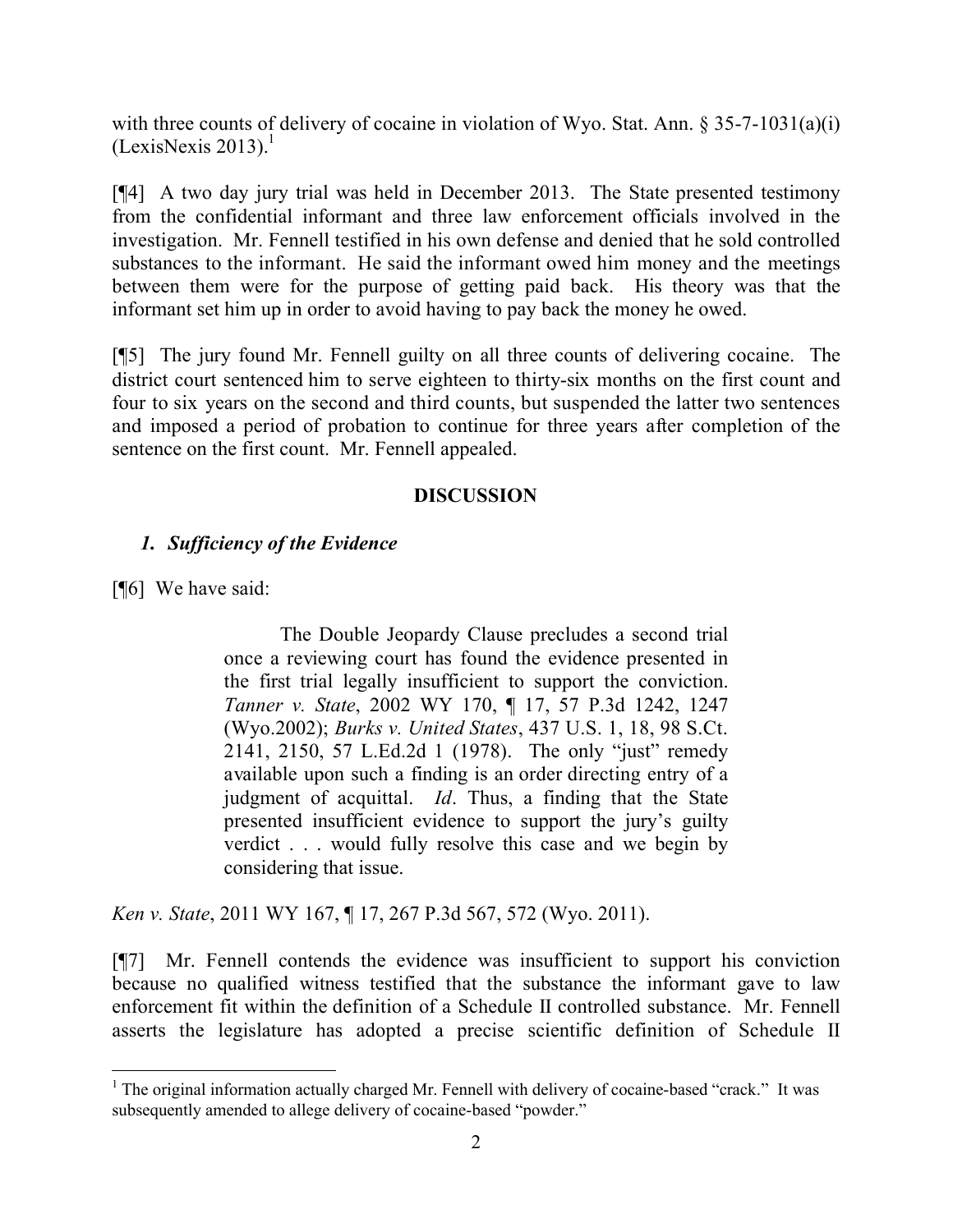with three counts of delivery of cocaine in violation of Wyo. Stat. Ann. § 35-7-1031(a)(i)  $(LexisNexis 2013).<sup>1</sup>$ 

[¶4] A two day jury trial was held in December 2013. The State presented testimony from the confidential informant and three law enforcement officials involved in the investigation. Mr. Fennell testified in his own defense and denied that he sold controlled substances to the informant. He said the informant owed him money and the meetings between them were for the purpose of getting paid back. His theory was that the informant set him up in order to avoid having to pay back the money he owed.

[¶5] The jury found Mr. Fennell guilty on all three counts of delivering cocaine. The district court sentenced him to serve eighteen to thirty-six months on the first count and four to six years on the second and third counts, but suspended the latter two sentences and imposed a period of probation to continue for three years after completion of the sentence on the first count. Mr. Fennell appealed.

### **DISCUSSION**

### *1. Sufficiency of the Evidence*

[¶6] We have said:

The Double Jeopardy Clause precludes a second trial once a reviewing court has found the evidence presented in the first trial legally insufficient to support the conviction. *Tanner v. State*, 2002 WY 170, ¶ 17, 57 P.3d 1242, 1247 (Wyo.2002); *Burks v. United States*, 437 U.S. 1, 18, 98 S.Ct. 2141, 2150, 57 L.Ed.2d 1 (1978). The only "just" remedy available upon such a finding is an order directing entry of a judgment of acquittal. *Id*. Thus, a finding that the State presented insufficient evidence to support the jury's guilty verdict . . . would fully resolve this case and we begin by considering that issue.

*Ken v. State*, 2011 WY 167, ¶ 17, 267 P.3d 567, 572 (Wyo. 2011).

[¶7] Mr. Fennell contends the evidence was insufficient to support his conviction because no qualified witness testified that the substance the informant gave to law enforcement fit within the definition of a Schedule II controlled substance. Mr. Fennell asserts the legislature has adopted a precise scientific definition of Schedule II

<sup>&</sup>lt;sup>1</sup> The original information actually charged Mr. Fennell with delivery of cocaine-based "crack." It was subsequently amended to allege delivery of cocaine-based "powder."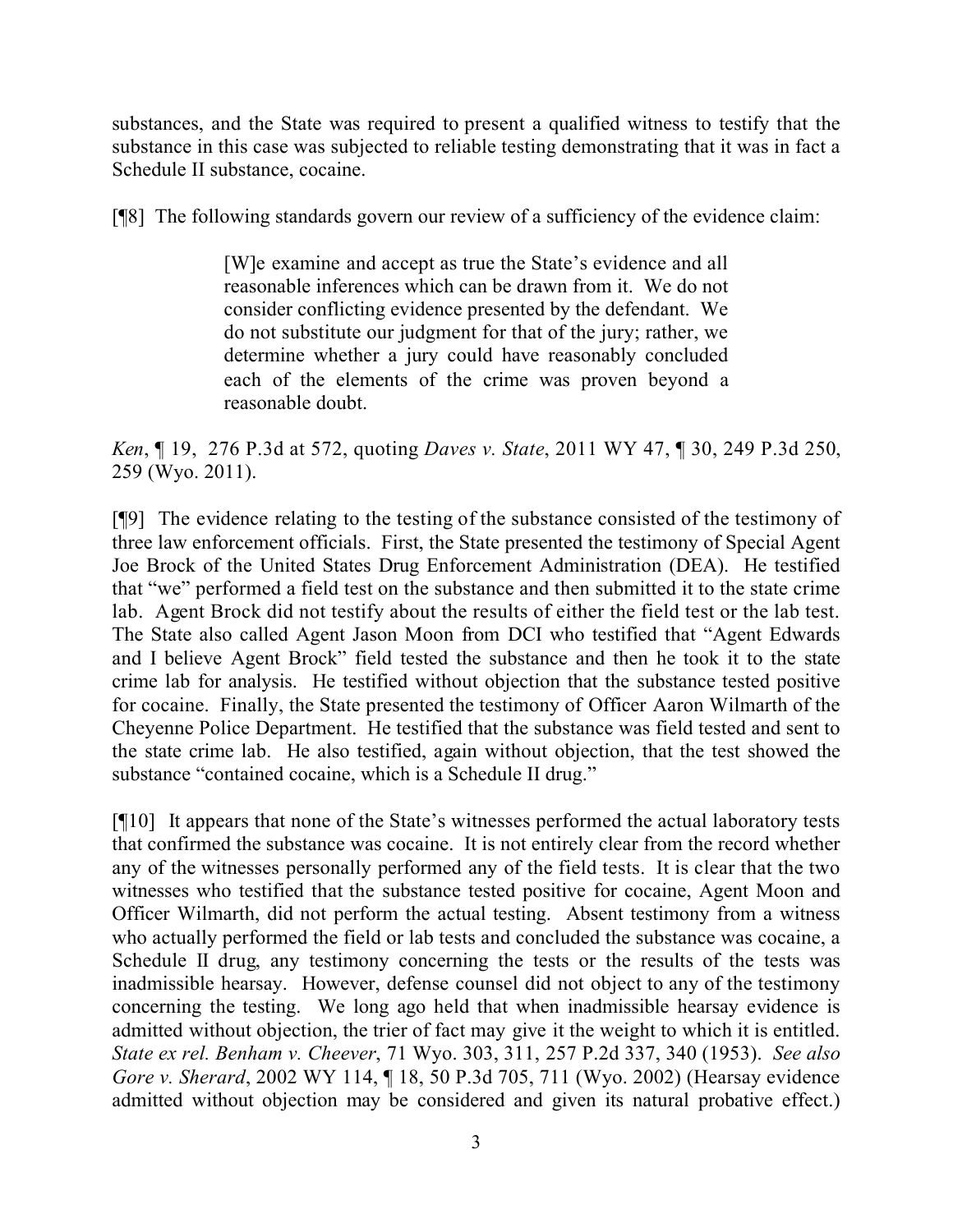substances, and the State was required to present a qualified witness to testify that the substance in this case was subjected to reliable testing demonstrating that it was in fact a Schedule II substance, cocaine.

[¶8] The following standards govern our review of a sufficiency of the evidence claim:

[W]e examine and accept as true the State's evidence and all reasonable inferences which can be drawn from it. We do not consider conflicting evidence presented by the defendant. We do not substitute our judgment for that of the jury; rather, we determine whether a jury could have reasonably concluded each of the elements of the crime was proven beyond a reasonable doubt.

*Ken*, ¶ 19, 276 P.3d at 572, quoting *Daves v. State*, 2011 WY 47, ¶ 30, 249 P.3d 250, 259 (Wyo. 2011).

[¶9] The evidence relating to the testing of the substance consisted of the testimony of three law enforcement officials. First, the State presented the testimony of Special Agent Joe Brock of the United States Drug Enforcement Administration (DEA). He testified that "we" performed a field test on the substance and then submitted it to the state crime lab. Agent Brock did not testify about the results of either the field test or the lab test. The State also called Agent Jason Moon from DCI who testified that "Agent Edwards and I believe Agent Brock" field tested the substance and then he took it to the state crime lab for analysis. He testified without objection that the substance tested positive for cocaine. Finally, the State presented the testimony of Officer Aaron Wilmarth of the Cheyenne Police Department. He testified that the substance was field tested and sent to the state crime lab. He also testified, again without objection, that the test showed the substance "contained cocaine, which is a Schedule II drug."

[¶10] It appears that none of the State's witnesses performed the actual laboratory tests that confirmed the substance was cocaine. It is not entirely clear from the record whether any of the witnesses personally performed any of the field tests. It is clear that the two witnesses who testified that the substance tested positive for cocaine, Agent Moon and Officer Wilmarth, did not perform the actual testing. Absent testimony from a witness who actually performed the field or lab tests and concluded the substance was cocaine, a Schedule II drug, any testimony concerning the tests or the results of the tests was inadmissible hearsay. However, defense counsel did not object to any of the testimony concerning the testing. We long ago held that when inadmissible hearsay evidence is admitted without objection, the trier of fact may give it the weight to which it is entitled. *State ex rel. Benham v. Cheever*, 71 Wyo. 303, 311, 257 P.2d 337, 340 (1953). *See also Gore v. Sherard*, 2002 WY 114, ¶ 18, 50 P.3d 705, 711 (Wyo. 2002) (Hearsay evidence admitted without objection may be considered and given its natural probative effect.)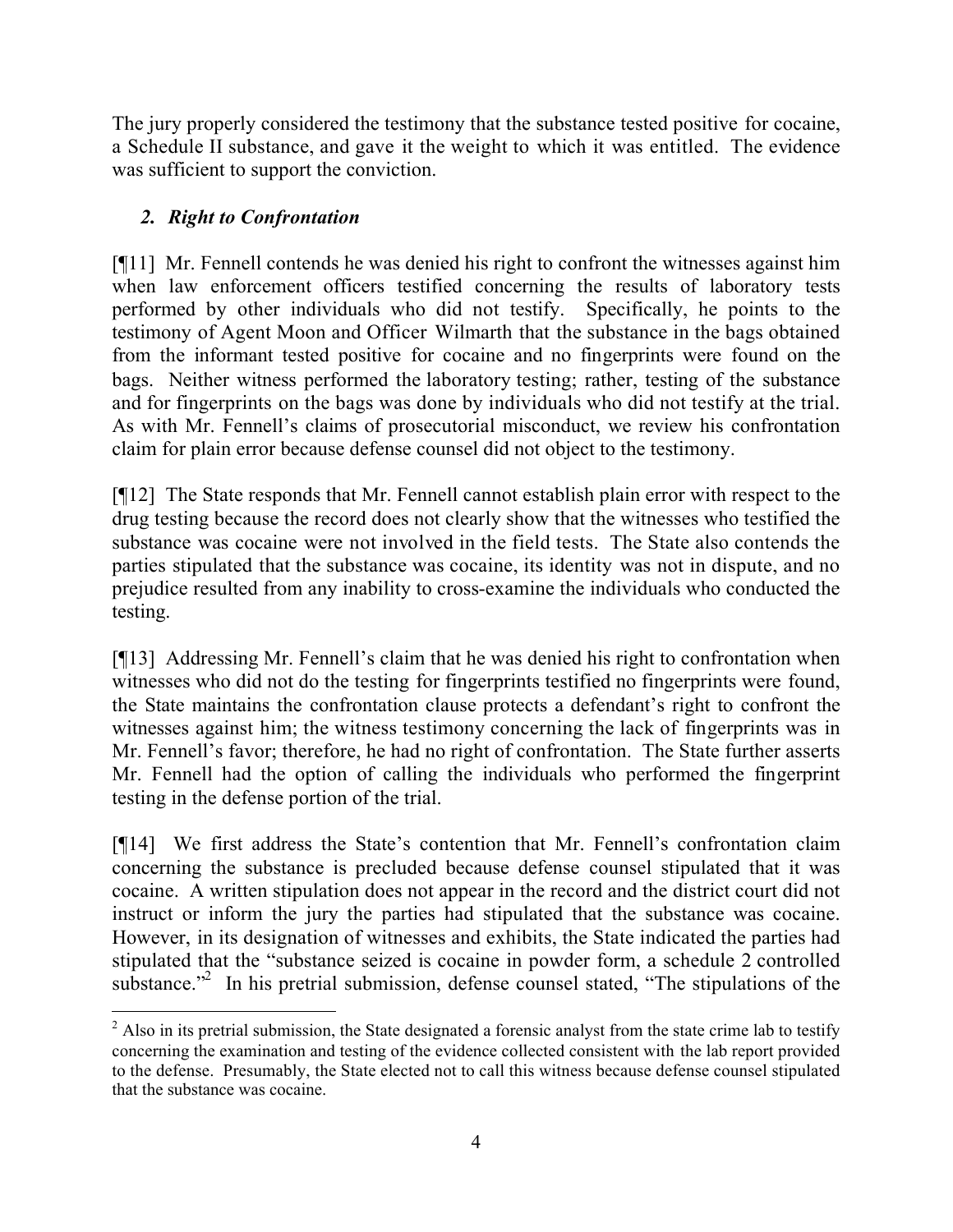The jury properly considered the testimony that the substance tested positive for cocaine, a Schedule II substance, and gave it the weight to which it was entitled. The evidence was sufficient to support the conviction.

# *2. Right to Confrontation*

[¶11] Mr. Fennell contends he was denied his right to confront the witnesses against him when law enforcement officers testified concerning the results of laboratory tests performed by other individuals who did not testify. Specifically, he points to the testimony of Agent Moon and Officer Wilmarth that the substance in the bags obtained from the informant tested positive for cocaine and no fingerprints were found on the bags. Neither witness performed the laboratory testing; rather, testing of the substance and for fingerprints on the bags was done by individuals who did not testify at the trial. As with Mr. Fennell's claims of prosecutorial misconduct, we review his confrontation claim for plain error because defense counsel did not object to the testimony.

[¶12] The State responds that Mr. Fennell cannot establish plain error with respect to the drug testing because the record does not clearly show that the witnesses who testified the substance was cocaine were not involved in the field tests. The State also contends the parties stipulated that the substance was cocaine, its identity was not in dispute, and no prejudice resulted from any inability to cross-examine the individuals who conducted the testing.

[¶13] Addressing Mr. Fennell's claim that he was denied his right to confrontation when witnesses who did not do the testing for fingerprints testified no fingerprints were found, the State maintains the confrontation clause protects a defendant's right to confront the witnesses against him; the witness testimony concerning the lack of fingerprints was in Mr. Fennell's favor; therefore, he had no right of confrontation. The State further asserts Mr. Fennell had the option of calling the individuals who performed the fingerprint testing in the defense portion of the trial.

[¶14] We first address the State's contention that Mr. Fennell's confrontation claim concerning the substance is precluded because defense counsel stipulated that it was cocaine. A written stipulation does not appear in the record and the district court did not instruct or inform the jury the parties had stipulated that the substance was cocaine. However, in its designation of witnesses and exhibits, the State indicated the parties had stipulated that the "substance seized is cocaine in powder form, a schedule 2 controlled substance."<sup>2</sup> In his pretrial submission, defense counsel stated, "The stipulations of the

  $2$  Also in its pretrial submission, the State designated a forensic analyst from the state crime lab to testify concerning the examination and testing of the evidence collected consistent with the lab report provided to the defense. Presumably, the State elected not to call this witness because defense counsel stipulated that the substance was cocaine.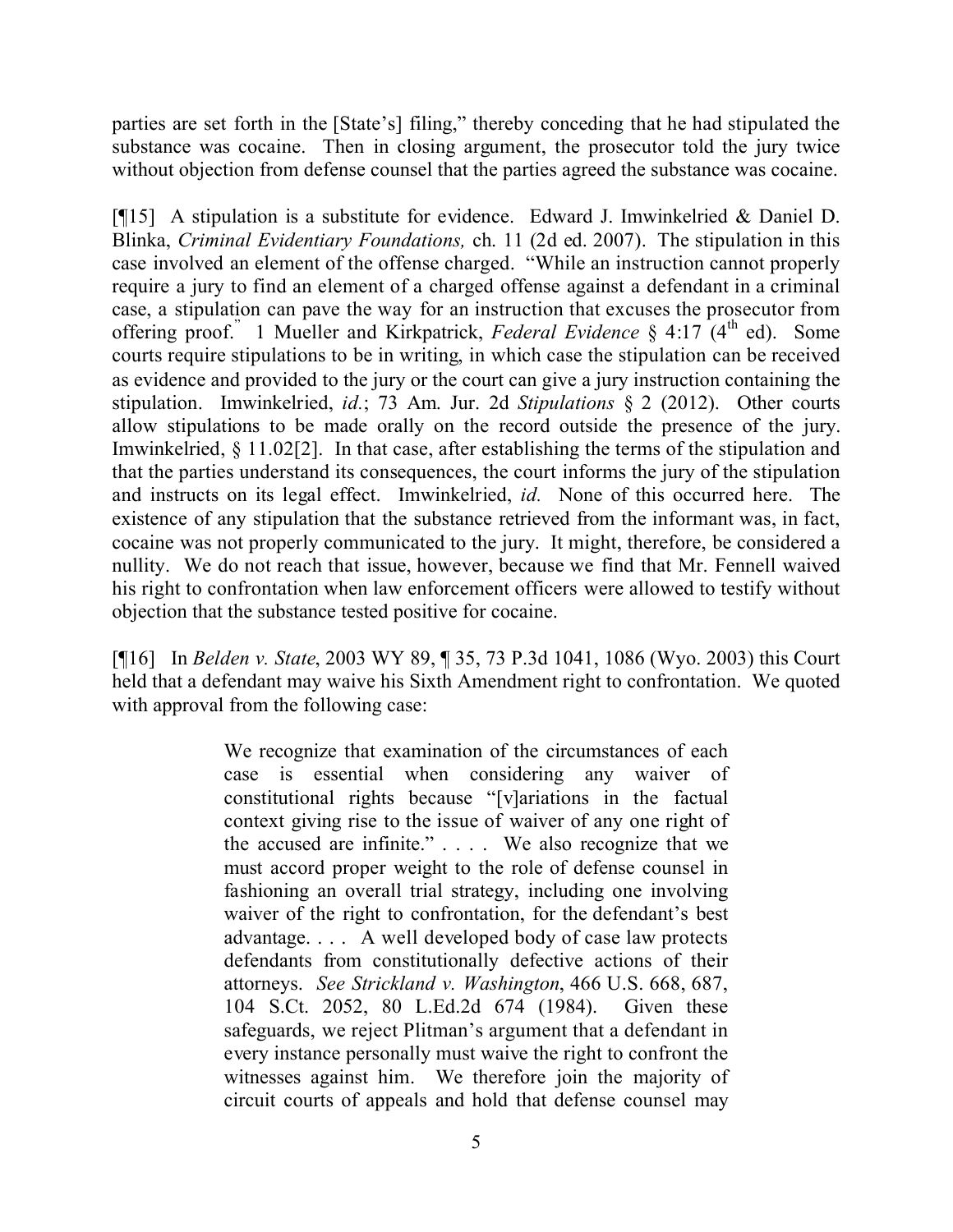parties are set forth in the [State's] filing," thereby conceding that he had stipulated the substance was cocaine. Then in closing argument, the prosecutor told the jury twice without objection from defense counsel that the parties agreed the substance was cocaine.

[¶15] A stipulation is a substitute for evidence. Edward J. Imwinkelried & Daniel D. Blinka, *Criminal Evidentiary Foundations,* ch. 11 (2d ed. 2007). The stipulation in this case involved an element of the offense charged. "While an instruction cannot properly require a jury to find an element of a charged offense against a defendant in a criminal case, a stipulation can pave the way for an instruction that excuses the prosecutor from offering proof.<sup>"</sup> 1 Mueller and Kirkpatrick, *Federal Evidence* § 4:17 (4<sup>th</sup> ed). Some courts require stipulations to be in writing, in which case the stipulation can be received as evidence and provided to the jury or the court can give a jury instruction containing the stipulation. Imwinkelried, *id.*; 73 Am. Jur. 2d *Stipulations* § 2 (2012). Other courts allow stipulations to be made orally on the record outside the presence of the jury. Imwinkelried, § 11.02[2]. In that case, after establishing the terms of the stipulation and that the parties understand its consequences, the court informs the jury of the stipulation and instructs on its legal effect. Imwinkelried, *id.* None of this occurred here. The existence of any stipulation that the substance retrieved from the informant was, in fact, cocaine was not properly communicated to the jury. It might, therefore, be considered a nullity. We do not reach that issue, however, because we find that Mr. Fennell waived his right to confrontation when law enforcement officers were allowed to testify without objection that the substance tested positive for cocaine.

[¶16] In *Belden v. State*, 2003 WY 89, ¶ 35, 73 P.3d 1041, 1086 (Wyo. 2003) this Court held that a defendant may waive his Sixth Amendment right to confrontation. We quoted with approval from the following case:

> We recognize that examination of the circumstances of each case is essential when considering any waiver of constitutional rights because "[v]ariations in the factual context giving rise to the issue of waiver of any one right of the accused are infinite." . . . . We also recognize that we must accord proper weight to the role of defense counsel in fashioning an overall trial strategy, including one involving waiver of the right to confrontation, for the defendant's best advantage. . . . A well developed body of case law protects defendants from constitutionally defective actions of their attorneys. *See Strickland v. Washington*, 466 U.S. 668, 687, 104 S.Ct. 2052, 80 L.Ed.2d 674 (1984). Given these safeguards, we reject Plitman's argument that a defendant in every instance personally must waive the right to confront the witnesses against him. We therefore join the majority of circuit courts of appeals and hold that defense counsel may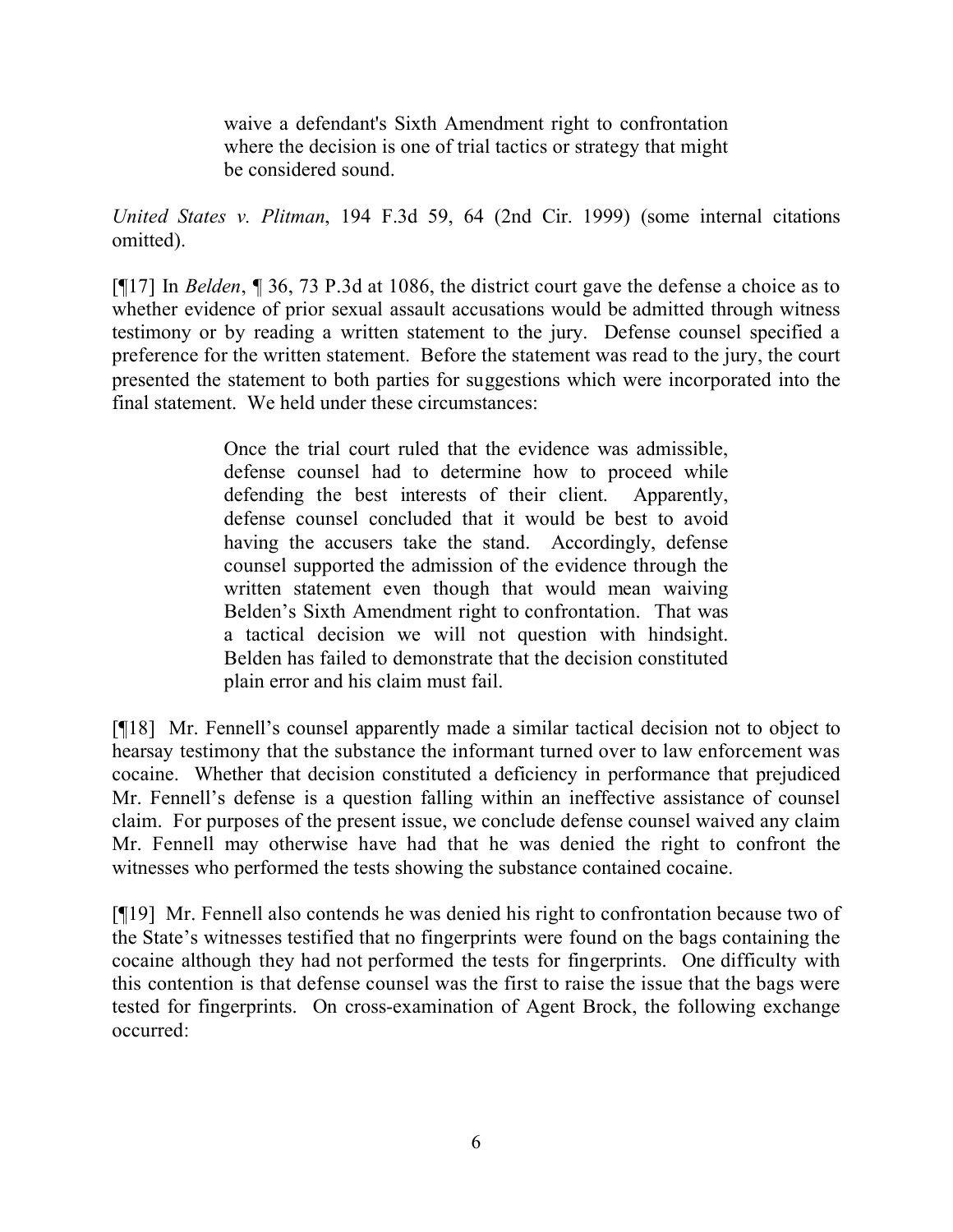waive a defendant's Sixth Amendment right to confrontation where the decision is one of trial tactics or strategy that might be considered sound.

*United States v. Plitman*, 194 F.3d 59, 64 (2nd Cir. 1999) (some internal citations omitted).

[¶17] In *Belden*, ¶ 36, 73 P.3d at 1086, the district court gave the defense a choice as to whether evidence of prior sexual assault accusations would be admitted through witness testimony or by reading a written statement to the jury. Defense counsel specified a preference for the written statement. Before the statement was read to the jury, the court presented the statement to both parties for suggestions which were incorporated into the final statement. We held under these circumstances:

> Once the trial court ruled that the evidence was admissible, defense counsel had to determine how to proceed while defending the best interests of their client. Apparently, defense counsel concluded that it would be best to avoid having the accusers take the stand. Accordingly, defense counsel supported the admission of the evidence through the written statement even though that would mean waiving Belden's Sixth Amendment right to confrontation. That was a tactical decision we will not question with hindsight. Belden has failed to demonstrate that the decision constituted plain error and his claim must fail.

[¶18] Mr. Fennell's counsel apparently made a similar tactical decision not to object to hearsay testimony that the substance the informant turned over to law enforcement was cocaine. Whether that decision constituted a deficiency in performance that prejudiced Mr. Fennell's defense is a question falling within an ineffective assistance of counsel claim. For purposes of the present issue, we conclude defense counsel waived any claim Mr. Fennell may otherwise have had that he was denied the right to confront the witnesses who performed the tests showing the substance contained cocaine.

[¶19] Mr. Fennell also contends he was denied his right to confrontation because two of the State's witnesses testified that no fingerprints were found on the bags containing the cocaine although they had not performed the tests for fingerprints. One difficulty with this contention is that defense counsel was the first to raise the issue that the bags were tested for fingerprints. On cross-examination of Agent Brock, the following exchange occurred: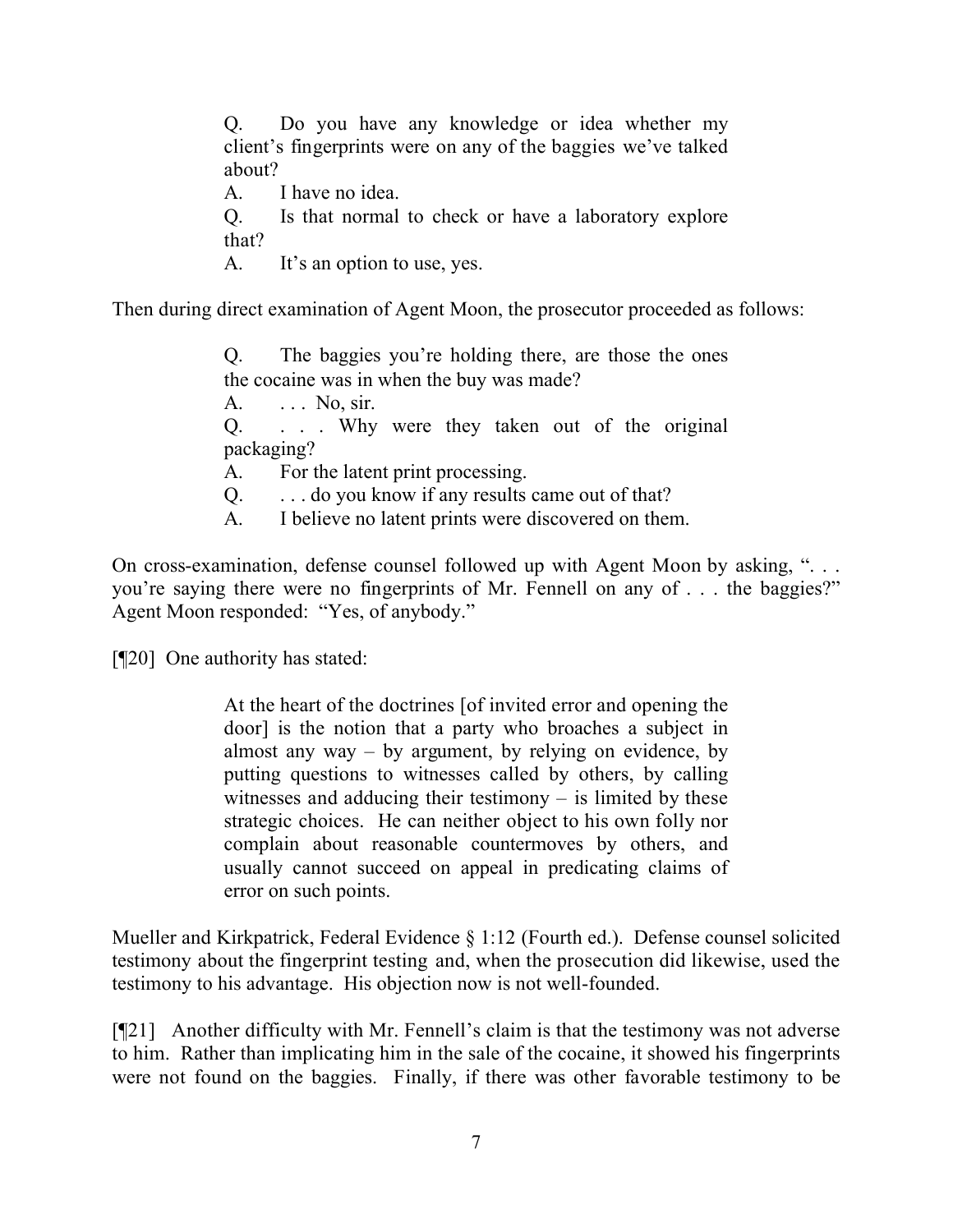Q. Do you have any knowledge or idea whether my client's fingerprints were on any of the baggies we've talked about?

A. I have no idea.

Q. Is that normal to check or have a laboratory explore that?

A. It's an option to use, yes.

Then during direct examination of Agent Moon, the prosecutor proceeded as follows:

Q. The baggies you're holding there, are those the ones the cocaine was in when the buy was made? A. ... No, sir. Q. . . . Why were they taken out of the original packaging? A. For the latent print processing. Q. . . . do you know if any results came out of that? A. I believe no latent prints were discovered on them.

On cross-examination, defense counsel followed up with Agent Moon by asking, ". . . you're saying there were no fingerprints of Mr. Fennell on any of . . . the baggies?" Agent Moon responded: "Yes, of anybody."

[¶20] One authority has stated:

At the heart of the doctrines [of invited error and opening the door] is the notion that a party who broaches a subject in almost any way  $-$  by argument, by relying on evidence, by putting questions to witnesses called by others, by calling witnesses and adducing their testimony – is limited by these strategic choices. He can neither object to his own folly nor complain about reasonable countermoves by others, and usually cannot succeed on appeal in predicating claims of error on such points.

Mueller and Kirkpatrick, Federal Evidence § 1:12 (Fourth ed.). Defense counsel solicited testimony about the fingerprint testing and, when the prosecution did likewise, used the testimony to his advantage. His objection now is not well-founded.

[¶21] Another difficulty with Mr. Fennell's claim is that the testimony was not adverse to him. Rather than implicating him in the sale of the cocaine, it showed his fingerprints were not found on the baggies. Finally, if there was other favorable testimony to be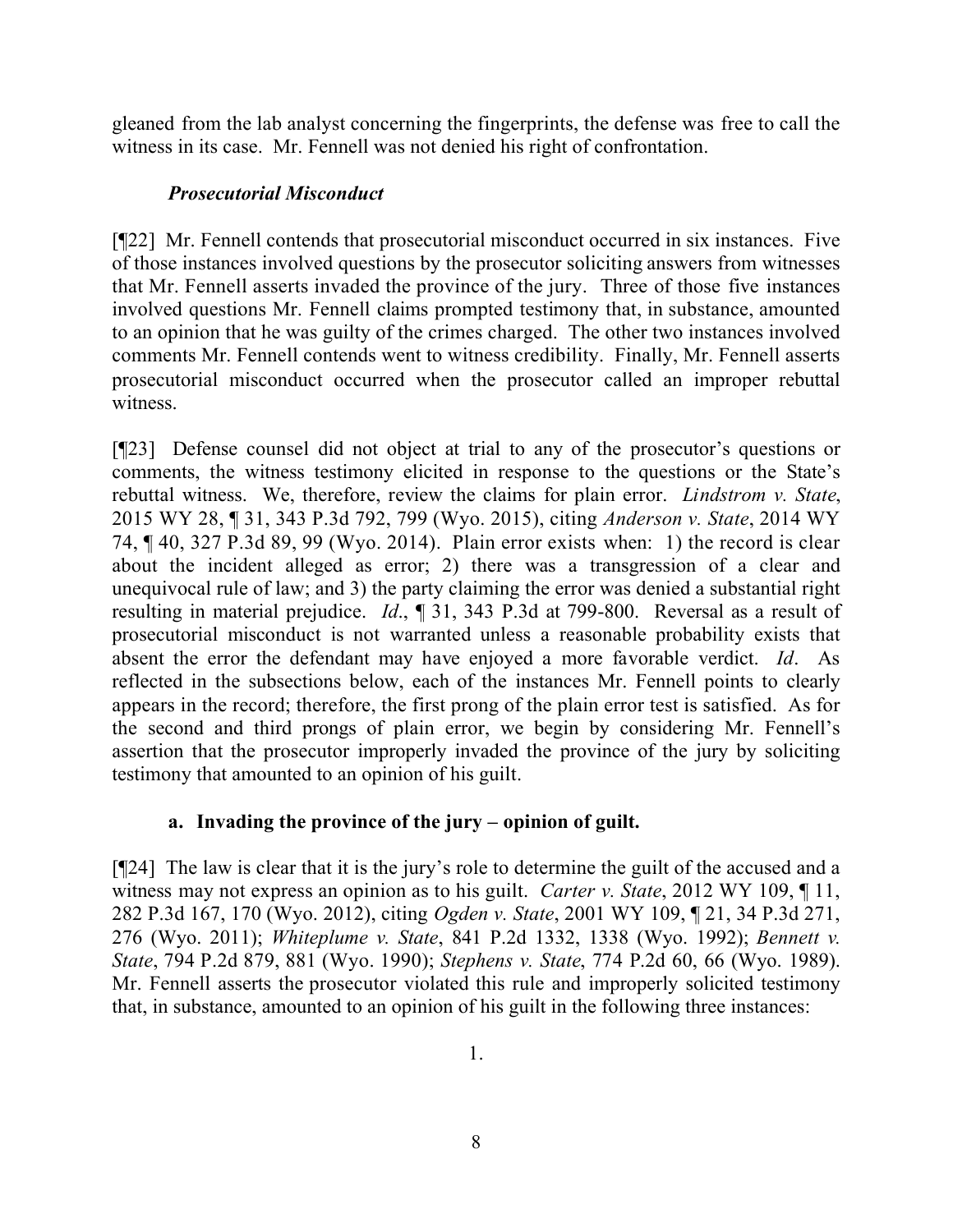gleaned from the lab analyst concerning the fingerprints, the defense was free to call the witness in its case. Mr. Fennell was not denied his right of confrontation.

# *Prosecutorial Misconduct*

[¶22] Mr. Fennell contends that prosecutorial misconduct occurred in six instances. Five of those instances involved questions by the prosecutor soliciting answers from witnesses that Mr. Fennell asserts invaded the province of the jury. Three of those five instances involved questions Mr. Fennell claims prompted testimony that, in substance, amounted to an opinion that he was guilty of the crimes charged. The other two instances involved comments Mr. Fennell contends went to witness credibility. Finally, Mr. Fennell asserts prosecutorial misconduct occurred when the prosecutor called an improper rebuttal witness.

[¶23] Defense counsel did not object at trial to any of the prosecutor's questions or comments, the witness testimony elicited in response to the questions or the State's rebuttal witness. We, therefore, review the claims for plain error. *Lindstrom v. State*, 2015 WY 28, ¶ 31, 343 P.3d 792, 799 (Wyo. 2015), citing *Anderson v. State*, 2014 WY 74, ¶ 40, 327 P.3d 89, 99 (Wyo. 2014). Plain error exists when: 1) the record is clear about the incident alleged as error; 2) there was a transgression of a clear and unequivocal rule of law; and 3) the party claiming the error was denied a substantial right resulting in material prejudice. *Id*., ¶ 31, 343 P.3d at 799-800. Reversal as a result of prosecutorial misconduct is not warranted unless a reasonable probability exists that absent the error the defendant may have enjoyed a more favorable verdict. *Id*. As reflected in the subsections below, each of the instances Mr. Fennell points to clearly appears in the record; therefore, the first prong of the plain error test is satisfied. As for the second and third prongs of plain error, we begin by considering Mr. Fennell's assertion that the prosecutor improperly invaded the province of the jury by soliciting testimony that amounted to an opinion of his guilt.

# **a. Invading the province of the jury – opinion of guilt.**

[¶24] The law is clear that it is the jury's role to determine the guilt of the accused and a witness may not express an opinion as to his guilt. *Carter v. State*, 2012 WY 109, ¶ 11, 282 P.3d 167, 170 (Wyo. 2012), citing *Ogden v. State*, 2001 WY 109, ¶ 21, 34 P.3d 271, 276 (Wyo. 2011); *Whiteplume v. State*, 841 P.2d 1332, 1338 (Wyo. 1992); *Bennett v. State*, 794 P.2d 879, 881 (Wyo. 1990); *Stephens v. State*, 774 P.2d 60, 66 (Wyo. 1989). Mr. Fennell asserts the prosecutor violated this rule and improperly solicited testimony that, in substance, amounted to an opinion of his guilt in the following three instances: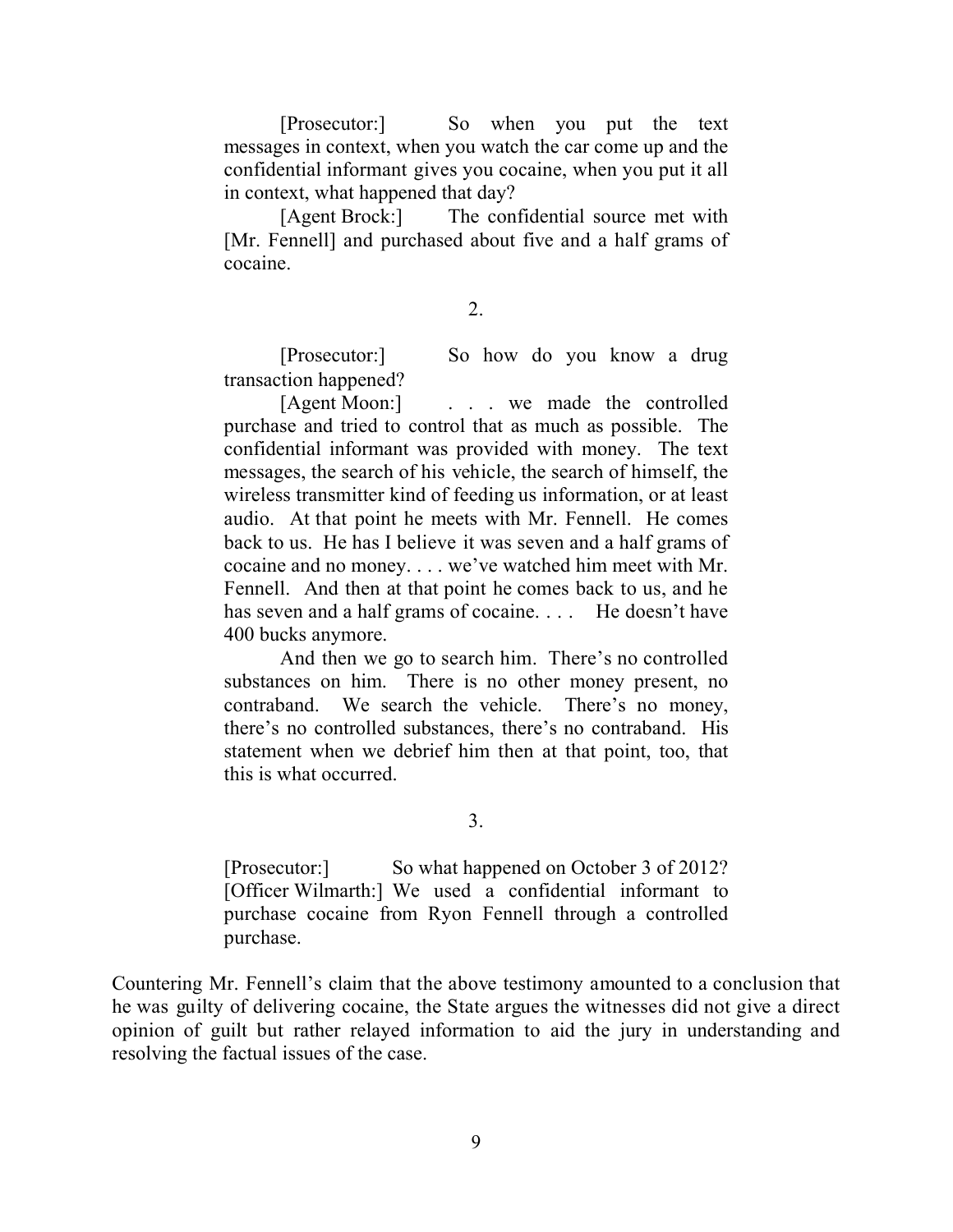[Prosecutor:] So when you put the text messages in context, when you watch the car come up and the confidential informant gives you cocaine, when you put it all in context, what happened that day?

[Agent Brock:] The confidential source met with [Mr. Fennell] and purchased about five and a half grams of cocaine.

2.

[Prosecutor:] So how do you know a drug transaction happened?

[Agent Moon:] . . . we made the controlled purchase and tried to control that as much as possible. The confidential informant was provided with money. The text messages, the search of his vehicle, the search of himself, the wireless transmitter kind of feeding us information, or at least audio. At that point he meets with Mr. Fennell. He comes back to us. He has I believe it was seven and a half grams of cocaine and no money. . . . we've watched him meet with Mr. Fennell. And then at that point he comes back to us, and he has seven and a half grams of cocaine.... He doesn't have 400 bucks anymore.

And then we go to search him. There's no controlled substances on him. There is no other money present, no contraband. We search the vehicle. There's no money, there's no controlled substances, there's no contraband. His statement when we debrief him then at that point, too, that this is what occurred.

3.

[Prosecutor:] So what happened on October 3 of 2012? [Officer Wilmarth:] We used a confidential informant to purchase cocaine from Ryon Fennell through a controlled purchase.

Countering Mr. Fennell's claim that the above testimony amounted to a conclusion that he was guilty of delivering cocaine, the State argues the witnesses did not give a direct opinion of guilt but rather relayed information to aid the jury in understanding and resolving the factual issues of the case.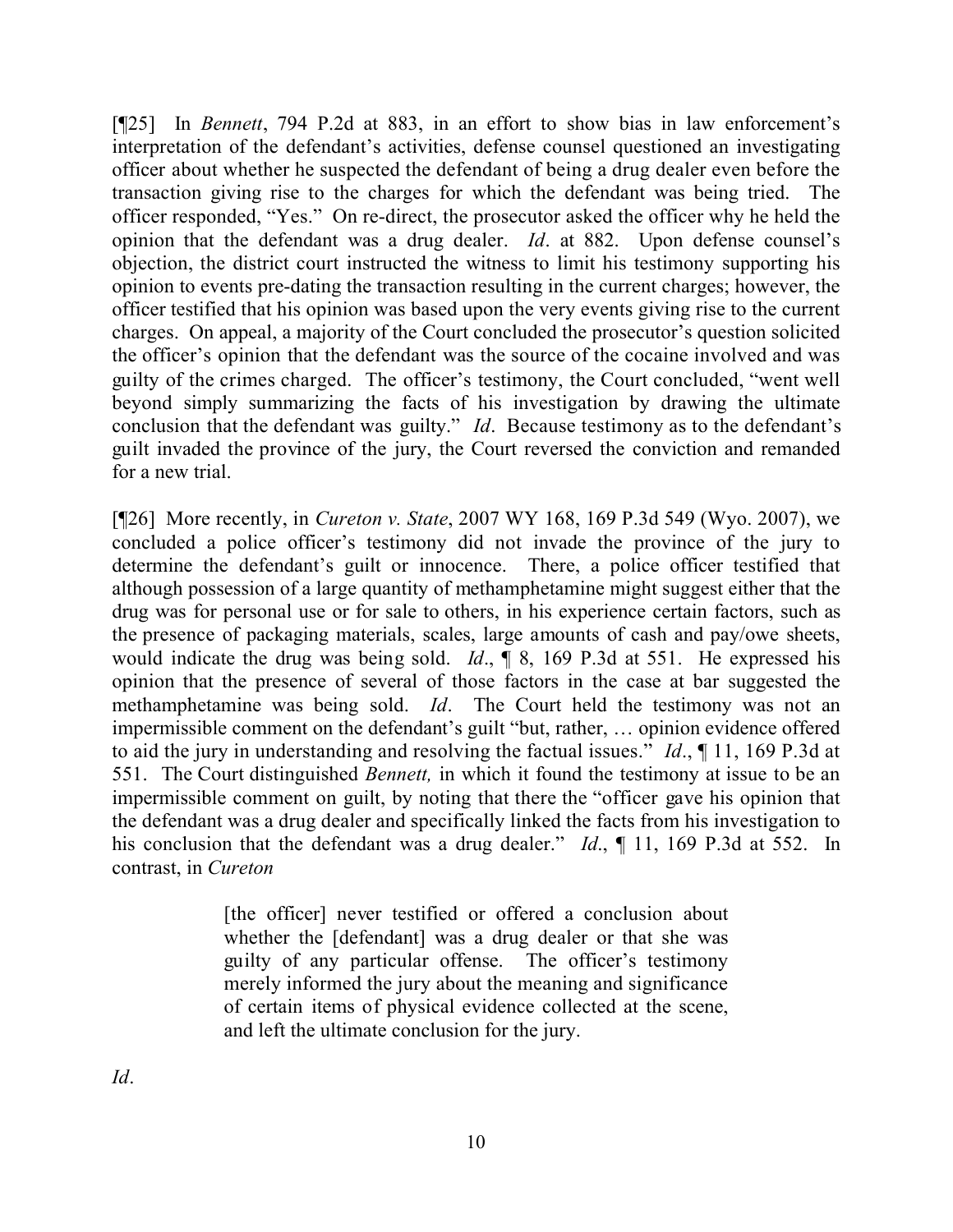[¶25] In *Bennett*, 794 P.2d at 883, in an effort to show bias in law enforcement's interpretation of the defendant's activities, defense counsel questioned an investigating officer about whether he suspected the defendant of being a drug dealer even before the transaction giving rise to the charges for which the defendant was being tried. The officer responded, "Yes." On re-direct, the prosecutor asked the officer why he held the opinion that the defendant was a drug dealer. *Id*. at 882. Upon defense counsel's objection, the district court instructed the witness to limit his testimony supporting his opinion to events pre-dating the transaction resulting in the current charges; however, the officer testified that his opinion was based upon the very events giving rise to the current charges. On appeal, a majority of the Court concluded the prosecutor's question solicited the officer's opinion that the defendant was the source of the cocaine involved and was guilty of the crimes charged. The officer's testimony, the Court concluded, "went well beyond simply summarizing the facts of his investigation by drawing the ultimate conclusion that the defendant was guilty." *Id*. Because testimony as to the defendant's guilt invaded the province of the jury, the Court reversed the conviction and remanded for a new trial.

[¶26] More recently, in *Cureton v. State*, 2007 WY 168, 169 P.3d 549 (Wyo. 2007), we concluded a police officer's testimony did not invade the province of the jury to determine the defendant's guilt or innocence. There, a police officer testified that although possession of a large quantity of methamphetamine might suggest either that the drug was for personal use or for sale to others, in his experience certain factors, such as the presence of packaging materials, scales, large amounts of cash and pay/owe sheets, would indicate the drug was being sold. *Id*., ¶ 8, 169 P.3d at 551. He expressed his opinion that the presence of several of those factors in the case at bar suggested the methamphetamine was being sold. *Id*. The Court held the testimony was not an impermissible comment on the defendant's guilt "but, rather, … opinion evidence offered to aid the jury in understanding and resolving the factual issues." *Id*., ¶ 11, 169 P.3d at 551. The Court distinguished *Bennett,* in which it found the testimony at issue to be an impermissible comment on guilt, by noting that there the "officer gave his opinion that the defendant was a drug dealer and specifically linked the facts from his investigation to his conclusion that the defendant was a drug dealer." *Id.*, 11, 169 P.3d at 552. In contrast, in *Cureton*

> [the officer] never testified or offered a conclusion about whether the [defendant] was a drug dealer or that she was guilty of any particular offense. The officer's testimony merely informed the jury about the meaning and significance of certain items of physical evidence collected at the scene, and left the ultimate conclusion for the jury.

*Id*.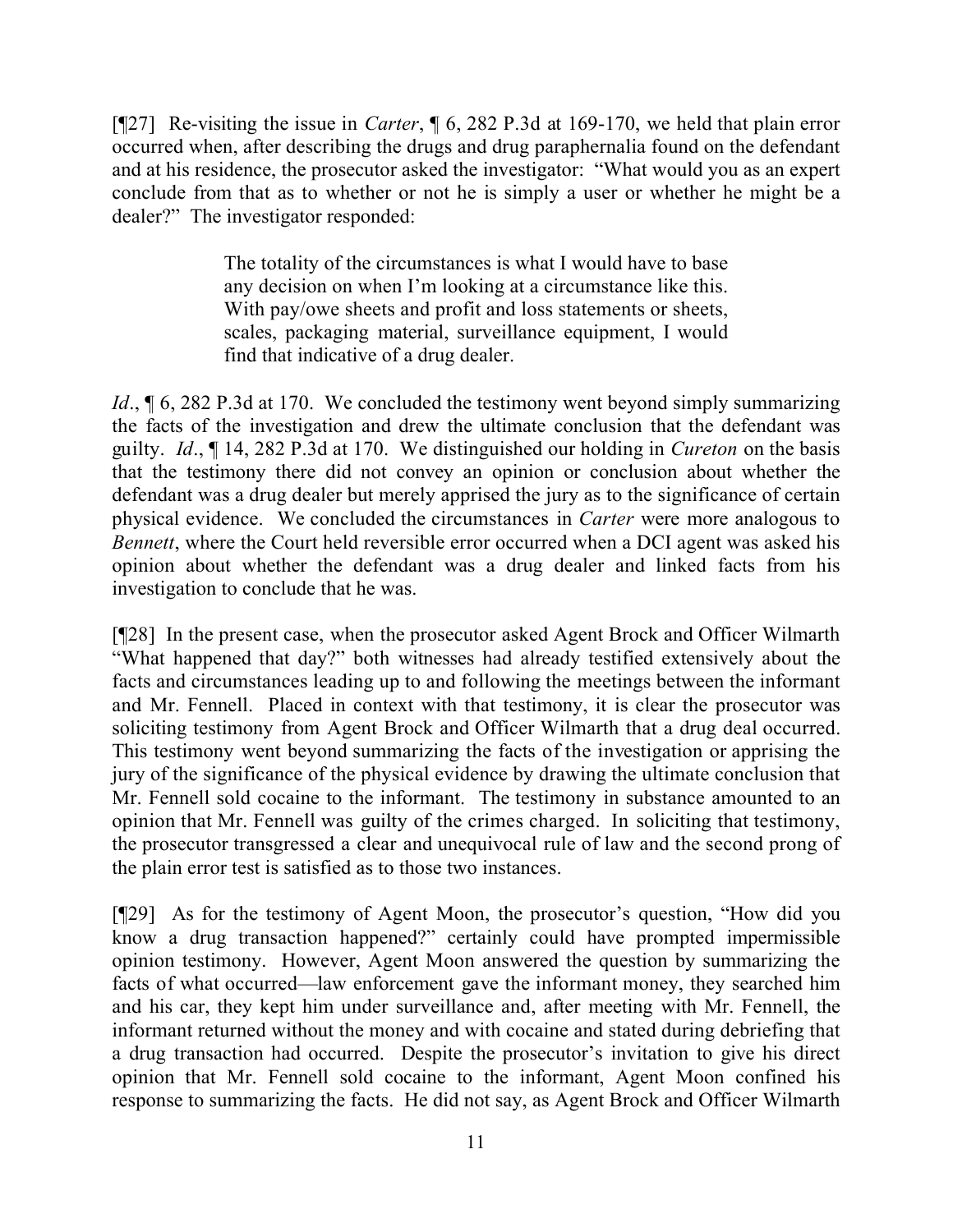[¶27] Re-visiting the issue in *Carter*, ¶ 6, 282 P.3d at 169-170, we held that plain error occurred when, after describing the drugs and drug paraphernalia found on the defendant and at his residence, the prosecutor asked the investigator: "What would you as an expert conclude from that as to whether or not he is simply a user or whether he might be a dealer?" The investigator responded:

> The totality of the circumstances is what I would have to base any decision on when I'm looking at a circumstance like this. With pay/owe sheets and profit and loss statements or sheets, scales, packaging material, surveillance equipment, I would find that indicative of a drug dealer.

*Id.*, **[6, 282 P.3d at 170.** We concluded the testimony went beyond simply summarizing the facts of the investigation and drew the ultimate conclusion that the defendant was guilty. *Id*., ¶ 14, 282 P.3d at 170. We distinguished our holding in *Cureton* on the basis that the testimony there did not convey an opinion or conclusion about whether the defendant was a drug dealer but merely apprised the jury as to the significance of certain physical evidence. We concluded the circumstances in *Carter* were more analogous to *Bennett*, where the Court held reversible error occurred when a DCI agent was asked his opinion about whether the defendant was a drug dealer and linked facts from his investigation to conclude that he was.

[¶28] In the present case, when the prosecutor asked Agent Brock and Officer Wilmarth "What happened that day?" both witnesses had already testified extensively about the facts and circumstances leading up to and following the meetings between the informant and Mr. Fennell. Placed in context with that testimony, it is clear the prosecutor was soliciting testimony from Agent Brock and Officer Wilmarth that a drug deal occurred. This testimony went beyond summarizing the facts of the investigation or apprising the jury of the significance of the physical evidence by drawing the ultimate conclusion that Mr. Fennell sold cocaine to the informant. The testimony in substance amounted to an opinion that Mr. Fennell was guilty of the crimes charged. In soliciting that testimony, the prosecutor transgressed a clear and unequivocal rule of law and the second prong of the plain error test is satisfied as to those two instances.

[¶29] As for the testimony of Agent Moon, the prosecutor's question, "How did you know a drug transaction happened?" certainly could have prompted impermissible opinion testimony. However, Agent Moon answered the question by summarizing the facts of what occurred—law enforcement gave the informant money, they searched him and his car, they kept him under surveillance and, after meeting with Mr. Fennell, the informant returned without the money and with cocaine and stated during debriefing that a drug transaction had occurred. Despite the prosecutor's invitation to give his direct opinion that Mr. Fennell sold cocaine to the informant, Agent Moon confined his response to summarizing the facts. He did not say, as Agent Brock and Officer Wilmarth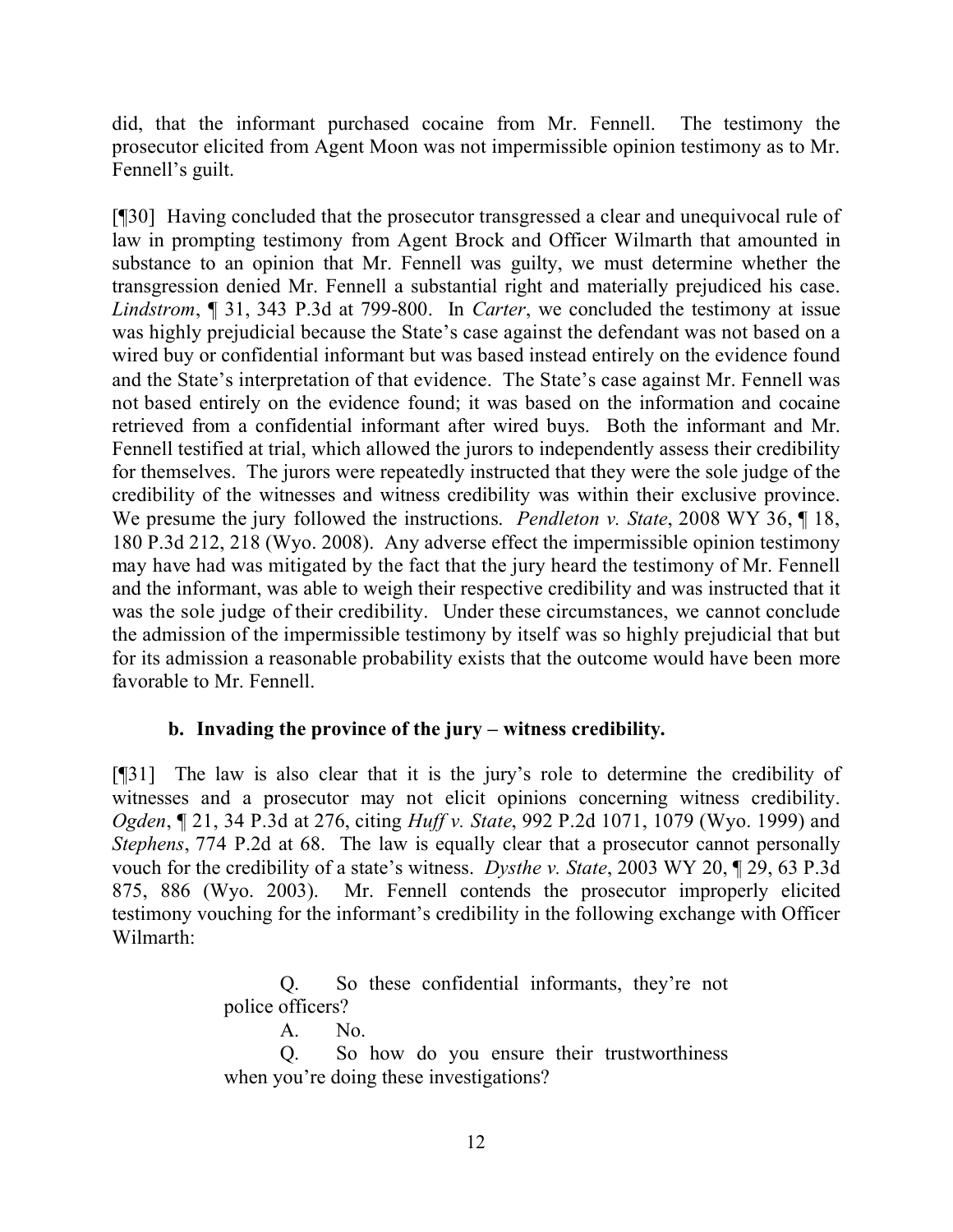did, that the informant purchased cocaine from Mr. Fennell. The testimony the prosecutor elicited from Agent Moon was not impermissible opinion testimony as to Mr. Fennell's guilt.

[¶30] Having concluded that the prosecutor transgressed a clear and unequivocal rule of law in prompting testimony from Agent Brock and Officer Wilmarth that amounted in substance to an opinion that Mr. Fennell was guilty, we must determine whether the transgression denied Mr. Fennell a substantial right and materially prejudiced his case. *Lindstrom*, ¶ 31, 343 P.3d at 799-800. In *Carter*, we concluded the testimony at issue was highly prejudicial because the State's case against the defendant was not based on a wired buy or confidential informant but was based instead entirely on the evidence found and the State's interpretation of that evidence. The State's case against Mr. Fennell was not based entirely on the evidence found; it was based on the information and cocaine retrieved from a confidential informant after wired buys. Both the informant and Mr. Fennell testified at trial, which allowed the jurors to independently assess their credibility for themselves. The jurors were repeatedly instructed that they were the sole judge of the credibility of the witnesses and witness credibility was within their exclusive province. We presume the jury followed the instructions. *Pendleton v. State*, 2008 WY 36, ¶ 18, 180 P.3d 212, 218 (Wyo. 2008). Any adverse effect the impermissible opinion testimony may have had was mitigated by the fact that the jury heard the testimony of Mr. Fennell and the informant, was able to weigh their respective credibility and was instructed that it was the sole judge of their credibility. Under these circumstances, we cannot conclude the admission of the impermissible testimony by itself was so highly prejudicial that but for its admission a reasonable probability exists that the outcome would have been more favorable to Mr. Fennell.

# **b. Invading the province of the jury – witness credibility.**

[¶31] The law is also clear that it is the jury's role to determine the credibility of witnesses and a prosecutor may not elicit opinions concerning witness credibility. *Ogden*, ¶ 21, 34 P.3d at 276, citing *Huff v. State*, 992 P.2d 1071, 1079 (Wyo. 1999) and *Stephens*, 774 P.2d at 68. The law is equally clear that a prosecutor cannot personally vouch for the credibility of a state's witness. *Dysthe v. State*, 2003 WY 20, ¶ 29, 63 P.3d 875, 886 (Wyo. 2003). Mr. Fennell contends the prosecutor improperly elicited testimony vouching for the informant's credibility in the following exchange with Officer Wilmarth:

> Q. So these confidential informants, they're not police officers?

> > A. No.

Q. So how do you ensure their trustworthiness when you're doing these investigations?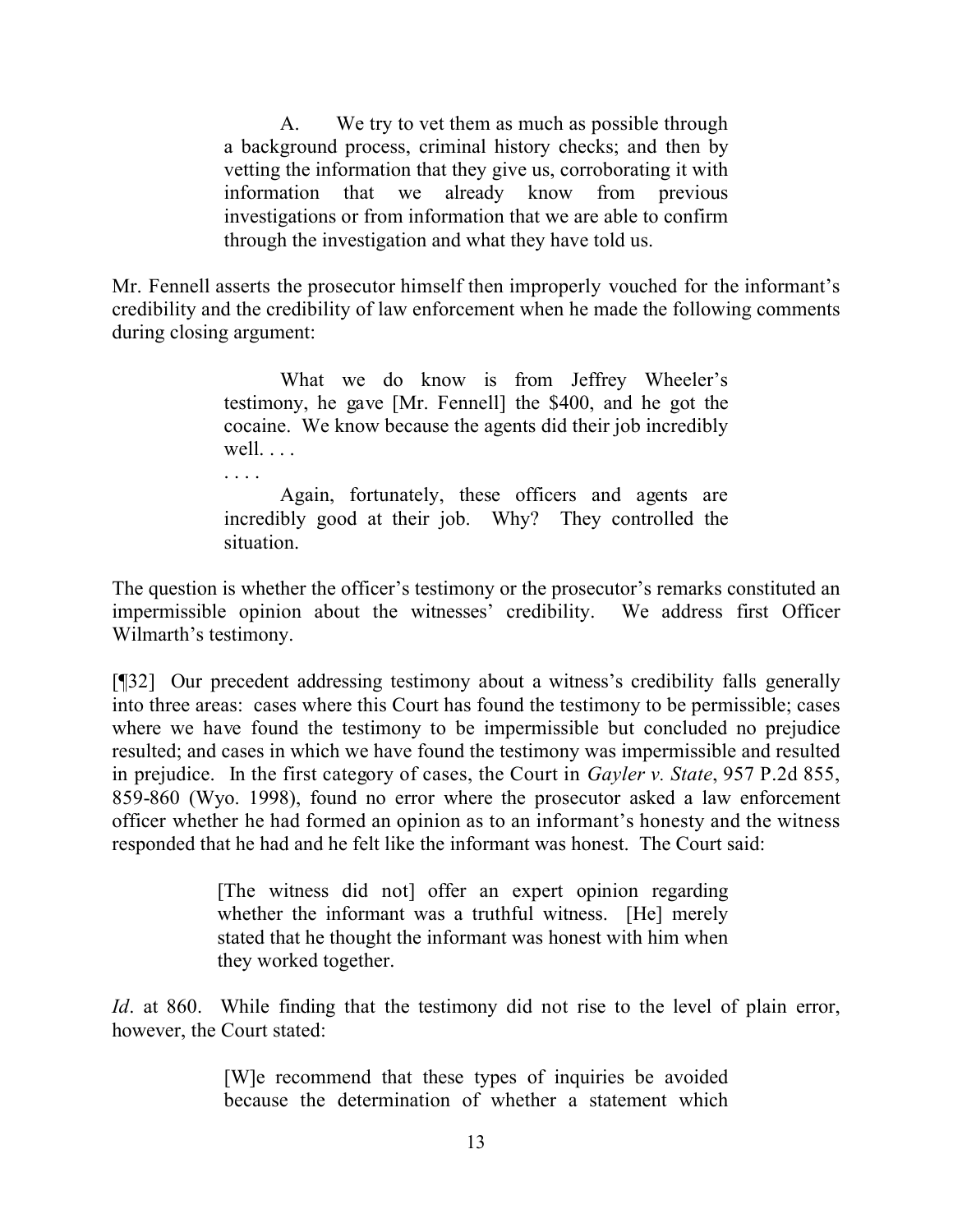A. We try to vet them as much as possible through a background process, criminal history checks; and then by vetting the information that they give us, corroborating it with information that we already know from previous investigations or from information that we are able to confirm through the investigation and what they have told us.

Mr. Fennell asserts the prosecutor himself then improperly vouched for the informant's credibility and the credibility of law enforcement when he made the following comments during closing argument:

> What we do know is from Jeffrey Wheeler's testimony, he gave [Mr. Fennell] the \$400, and he got the cocaine. We know because the agents did their job incredibly well. . . .

> Again, fortunately, these officers and agents are incredibly good at their job. Why? They controlled the situation.

The question is whether the officer's testimony or the prosecutor's remarks constituted an impermissible opinion about the witnesses' credibility. We address first Officer Wilmarth's testimony.

[¶32] Our precedent addressing testimony about a witness's credibility falls generally into three areas: cases where this Court has found the testimony to be permissible; cases where we have found the testimony to be impermissible but concluded no prejudice resulted; and cases in which we have found the testimony was impermissible and resulted in prejudice. In the first category of cases, the Court in *Gayler v. State*, 957 P.2d 855, 859-860 (Wyo. 1998), found no error where the prosecutor asked a law enforcement officer whether he had formed an opinion as to an informant's honesty and the witness responded that he had and he felt like the informant was honest. The Court said:

> [The witness did not] offer an expert opinion regarding whether the informant was a truthful witness. [He] merely stated that he thought the informant was honest with him when they worked together.

*Id*. at 860. While finding that the testimony did not rise to the level of plain error, however, the Court stated:

> [W]e recommend that these types of inquiries be avoided because the determination of whether a statement which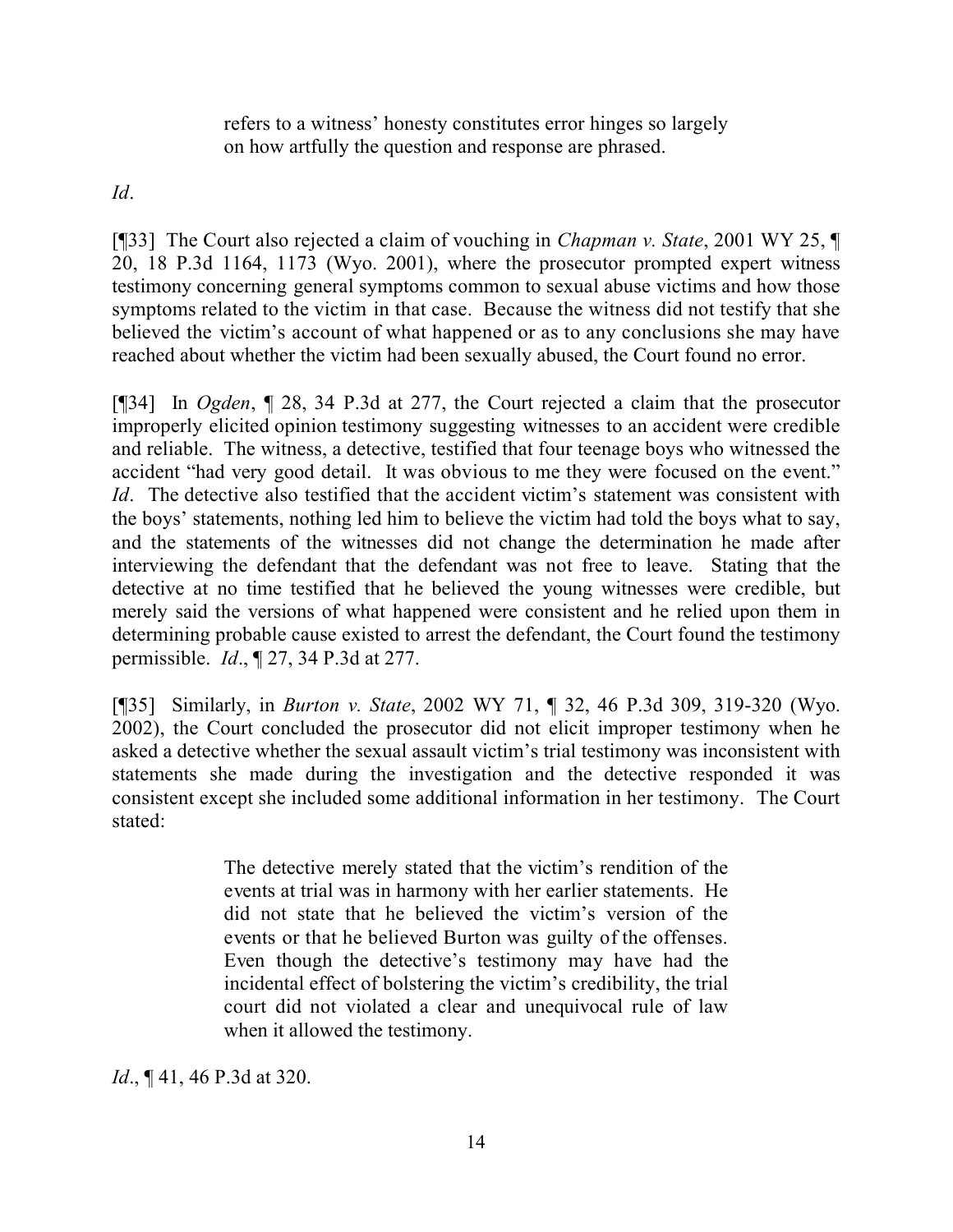refers to a witness' honesty constitutes error hinges so largely on how artfully the question and response are phrased.

*Id*.

[¶33] The Court also rejected a claim of vouching in *Chapman v. State*, 2001 WY 25, ¶ 20, 18 P.3d 1164, 1173 (Wyo. 2001), where the prosecutor prompted expert witness testimony concerning general symptoms common to sexual abuse victims and how those symptoms related to the victim in that case. Because the witness did not testify that she believed the victim's account of what happened or as to any conclusions she may have reached about whether the victim had been sexually abused, the Court found no error.

[¶34] In *Ogden*, ¶ 28, 34 P.3d at 277, the Court rejected a claim that the prosecutor improperly elicited opinion testimony suggesting witnesses to an accident were credible and reliable. The witness, a detective, testified that four teenage boys who witnessed the accident "had very good detail. It was obvious to me they were focused on the event." *Id*. The detective also testified that the accident victim's statement was consistent with the boys' statements, nothing led him to believe the victim had told the boys what to say, and the statements of the witnesses did not change the determination he made after interviewing the defendant that the defendant was not free to leave. Stating that the detective at no time testified that he believed the young witnesses were credible, but merely said the versions of what happened were consistent and he relied upon them in determining probable cause existed to arrest the defendant, the Court found the testimony permissible. *Id*., ¶ 27, 34 P.3d at 277.

[¶35] Similarly, in *Burton v. State*, 2002 WY 71, ¶ 32, 46 P.3d 309, 319-320 (Wyo. 2002), the Court concluded the prosecutor did not elicit improper testimony when he asked a detective whether the sexual assault victim's trial testimony was inconsistent with statements she made during the investigation and the detective responded it was consistent except she included some additional information in her testimony. The Court stated:

> The detective merely stated that the victim's rendition of the events at trial was in harmony with her earlier statements. He did not state that he believed the victim's version of the events or that he believed Burton was guilty of the offenses. Even though the detective's testimony may have had the incidental effect of bolstering the victim's credibility, the trial court did not violated a clear and unequivocal rule of law when it allowed the testimony.

*Id.*, **[41, 46 P.3d at 320.**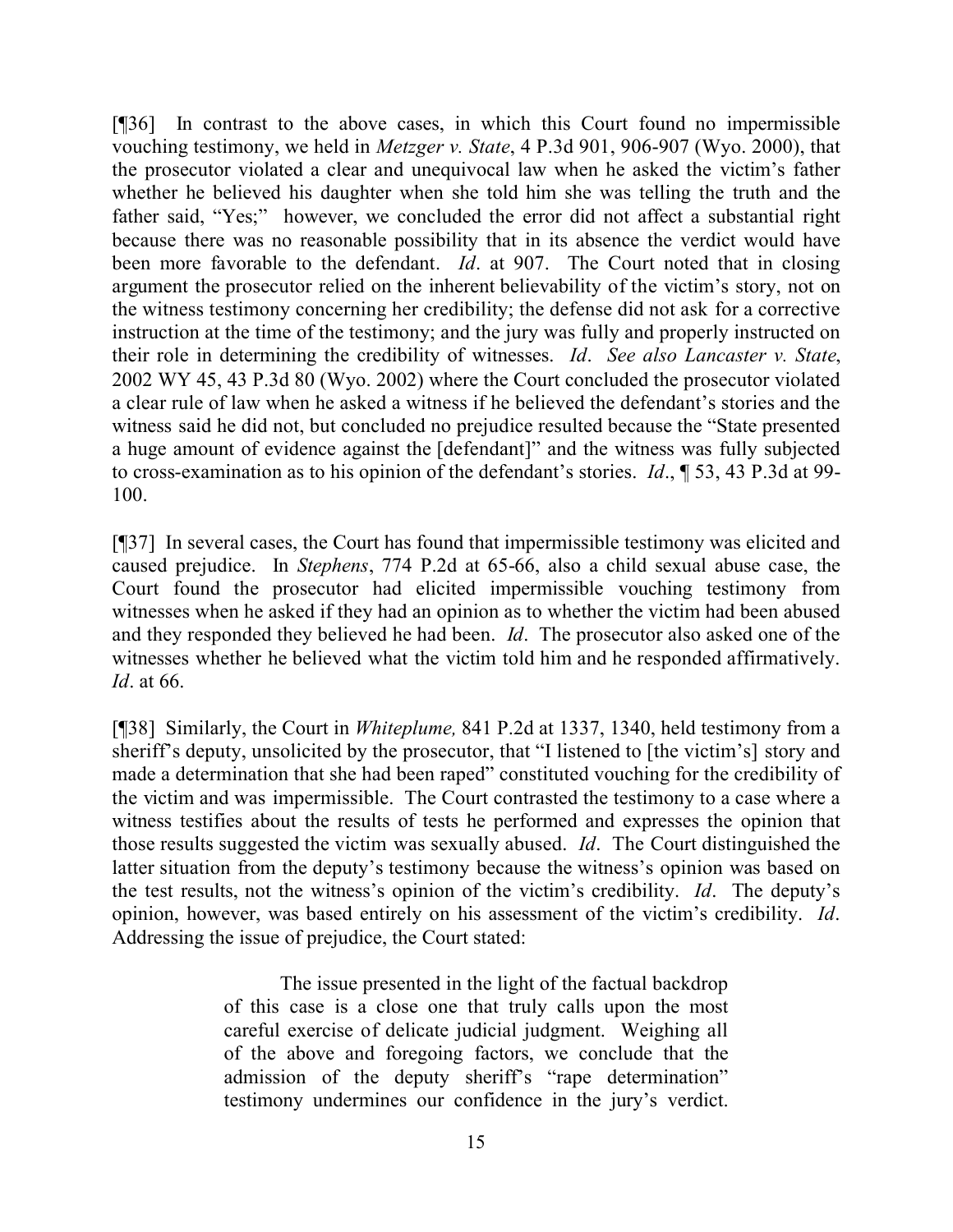[¶36] In contrast to the above cases, in which this Court found no impermissible vouching testimony, we held in *Metzger v. State*, 4 P.3d 901, 906-907 (Wyo. 2000), that the prosecutor violated a clear and unequivocal law when he asked the victim's father whether he believed his daughter when she told him she was telling the truth and the father said, "Yes;" however, we concluded the error did not affect a substantial right because there was no reasonable possibility that in its absence the verdict would have been more favorable to the defendant. *Id*. at 907. The Court noted that in closing argument the prosecutor relied on the inherent believability of the victim's story, not on the witness testimony concerning her credibility; the defense did not ask for a corrective instruction at the time of the testimony; and the jury was fully and properly instructed on their role in determining the credibility of witnesses. *Id*. *See also Lancaster v. State*, 2002 WY 45, 43 P.3d 80 (Wyo. 2002) where the Court concluded the prosecutor violated a clear rule of law when he asked a witness if he believed the defendant's stories and the witness said he did not, but concluded no prejudice resulted because the "State presented a huge amount of evidence against the [defendant]" and the witness was fully subjected to cross-examination as to his opinion of the defendant's stories. *Id*., ¶ 53, 43 P.3d at 99- 100.

[¶37] In several cases, the Court has found that impermissible testimony was elicited and caused prejudice. In *Stephens*, 774 P.2d at 65-66, also a child sexual abuse case, the Court found the prosecutor had elicited impermissible vouching testimony from witnesses when he asked if they had an opinion as to whether the victim had been abused and they responded they believed he had been. *Id*. The prosecutor also asked one of the witnesses whether he believed what the victim told him and he responded affirmatively. *Id*. at 66.

[¶38] Similarly, the Court in *Whiteplume,* 841 P.2d at 1337, 1340, held testimony from a sheriff's deputy, unsolicited by the prosecutor, that "I listened to [the victim's] story and made a determination that she had been raped" constituted vouching for the credibility of the victim and was impermissible. The Court contrasted the testimony to a case where a witness testifies about the results of tests he performed and expresses the opinion that those results suggested the victim was sexually abused. *Id*. The Court distinguished the latter situation from the deputy's testimony because the witness's opinion was based on the test results, not the witness's opinion of the victim's credibility. *Id*. The deputy's opinion, however, was based entirely on his assessment of the victim's credibility. *Id*. Addressing the issue of prejudice, the Court stated:

> The issue presented in the light of the factual backdrop of this case is a close one that truly calls upon the most careful exercise of delicate judicial judgment. Weighing all of the above and foregoing factors, we conclude that the admission of the deputy sheriff's "rape determination" testimony undermines our confidence in the jury's verdict.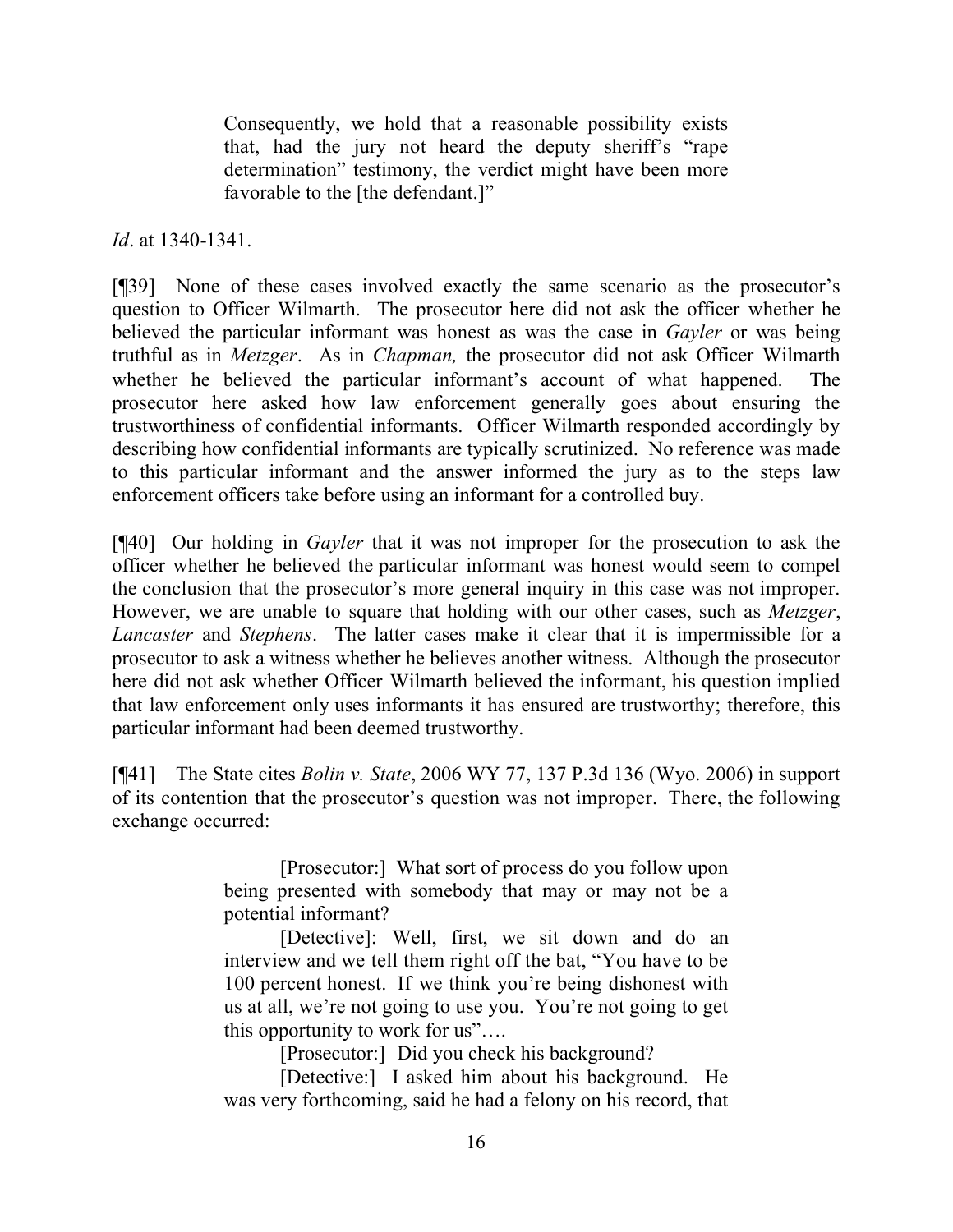Consequently, we hold that a reasonable possibility exists that, had the jury not heard the deputy sheriff's "rape determination" testimony, the verdict might have been more favorable to the [the defendant.]"

*Id*. at 1340-1341.

[¶39] None of these cases involved exactly the same scenario as the prosecutor's question to Officer Wilmarth. The prosecutor here did not ask the officer whether he believed the particular informant was honest as was the case in *Gayler* or was being truthful as in *Metzger*. As in *Chapman,* the prosecutor did not ask Officer Wilmarth whether he believed the particular informant's account of what happened. The prosecutor here asked how law enforcement generally goes about ensuring the trustworthiness of confidential informants. Officer Wilmarth responded accordingly by describing how confidential informants are typically scrutinized. No reference was made to this particular informant and the answer informed the jury as to the steps law enforcement officers take before using an informant for a controlled buy.

[¶40] Our holding in *Gayler* that it was not improper for the prosecution to ask the officer whether he believed the particular informant was honest would seem to compel the conclusion that the prosecutor's more general inquiry in this case was not improper. However, we are unable to square that holding with our other cases, such as *Metzger*, *Lancaster* and *Stephens*. The latter cases make it clear that it is impermissible for a prosecutor to ask a witness whether he believes another witness. Although the prosecutor here did not ask whether Officer Wilmarth believed the informant, his question implied that law enforcement only uses informants it has ensured are trustworthy; therefore, this particular informant had been deemed trustworthy.

[¶41] The State cites *Bolin v. State*, 2006 WY 77, 137 P.3d 136 (Wyo. 2006) in support of its contention that the prosecutor's question was not improper. There, the following exchange occurred:

> [Prosecutor:] What sort of process do you follow upon being presented with somebody that may or may not be a potential informant?

> [Detective]: Well, first, we sit down and do an interview and we tell them right off the bat, "You have to be 100 percent honest. If we think you're being dishonest with us at all, we're not going to use you. You're not going to get this opportunity to work for us"….

[Prosecutor:] Did you check his background?

[Detective:] I asked him about his background. He was very forthcoming, said he had a felony on his record, that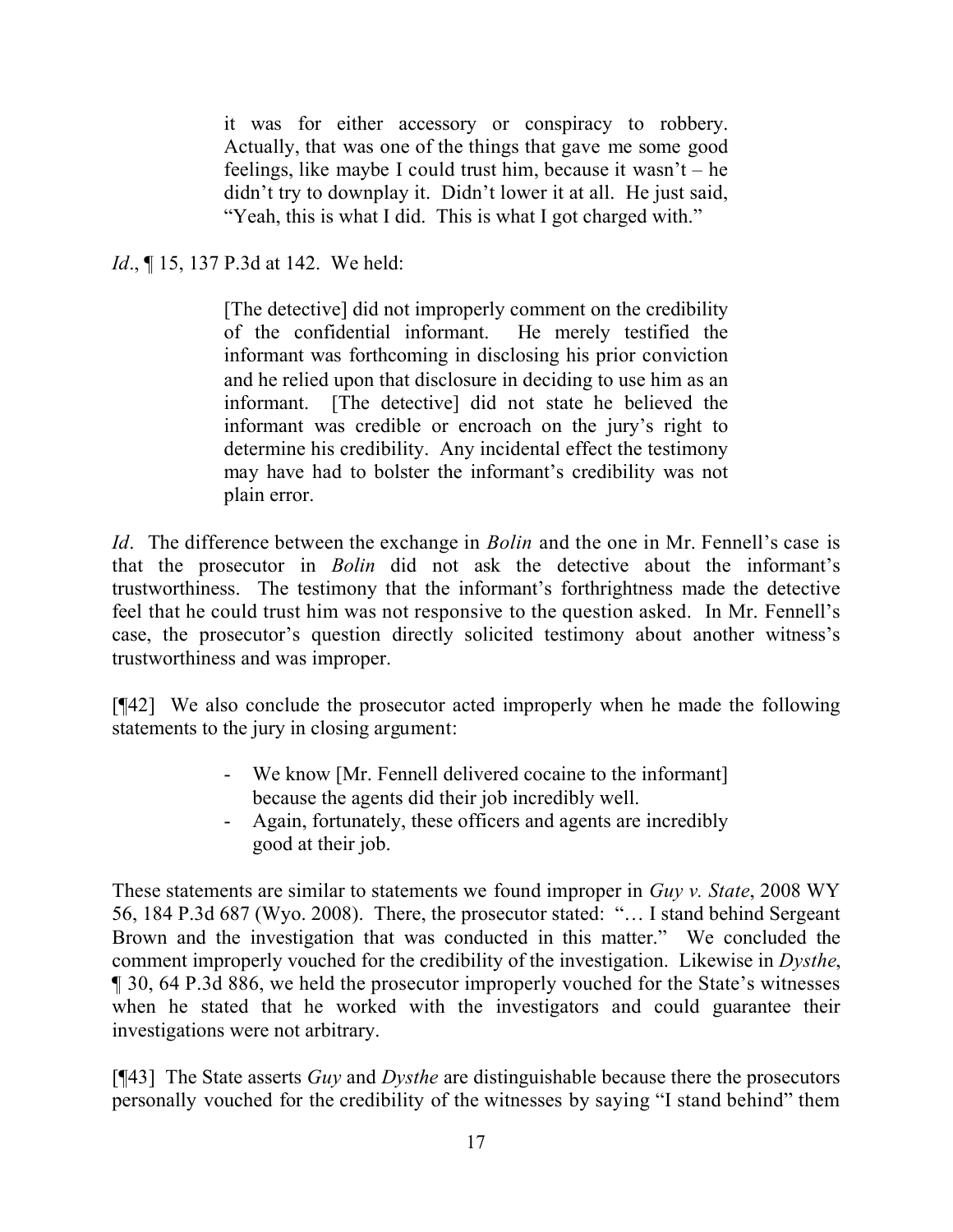it was for either accessory or conspiracy to robbery. Actually, that was one of the things that gave me some good feelings, like maybe I could trust him, because it wasn't – he didn't try to downplay it. Didn't lower it at all. He just said, "Yeah, this is what I did. This is what I got charged with."

*Id.*, **[15, 137 P.3d at 142.** We held:

[The detective] did not improperly comment on the credibility of the confidential informant. He merely testified the informant was forthcoming in disclosing his prior conviction and he relied upon that disclosure in deciding to use him as an informant. [The detective] did not state he believed the informant was credible or encroach on the jury's right to determine his credibility. Any incidental effect the testimony may have had to bolster the informant's credibility was not plain error.

*Id*. The difference between the exchange in *Bolin* and the one in Mr. Fennell's case is that the prosecutor in *Bolin* did not ask the detective about the informant's trustworthiness. The testimony that the informant's forthrightness made the detective feel that he could trust him was not responsive to the question asked. In Mr. Fennell's case, the prosecutor's question directly solicited testimony about another witness's trustworthiness and was improper.

[¶42] We also conclude the prosecutor acted improperly when he made the following statements to the jury in closing argument:

- We know [Mr. Fennell delivered cocaine to the informant] because the agents did their job incredibly well.
- Again, fortunately, these officers and agents are incredibly good at their job.

These statements are similar to statements we found improper in *Guy v. State*, 2008 WY 56, 184 P.3d 687 (Wyo. 2008). There, the prosecutor stated: "… I stand behind Sergeant Brown and the investigation that was conducted in this matter." We concluded the comment improperly vouched for the credibility of the investigation. Likewise in *Dysthe*, ¶ 30, 64 P.3d 886, we held the prosecutor improperly vouched for the State's witnesses when he stated that he worked with the investigators and could guarantee their investigations were not arbitrary.

[¶43] The State asserts *Guy* and *Dysthe* are distinguishable because there the prosecutors personally vouched for the credibility of the witnesses by saying "I stand behind" them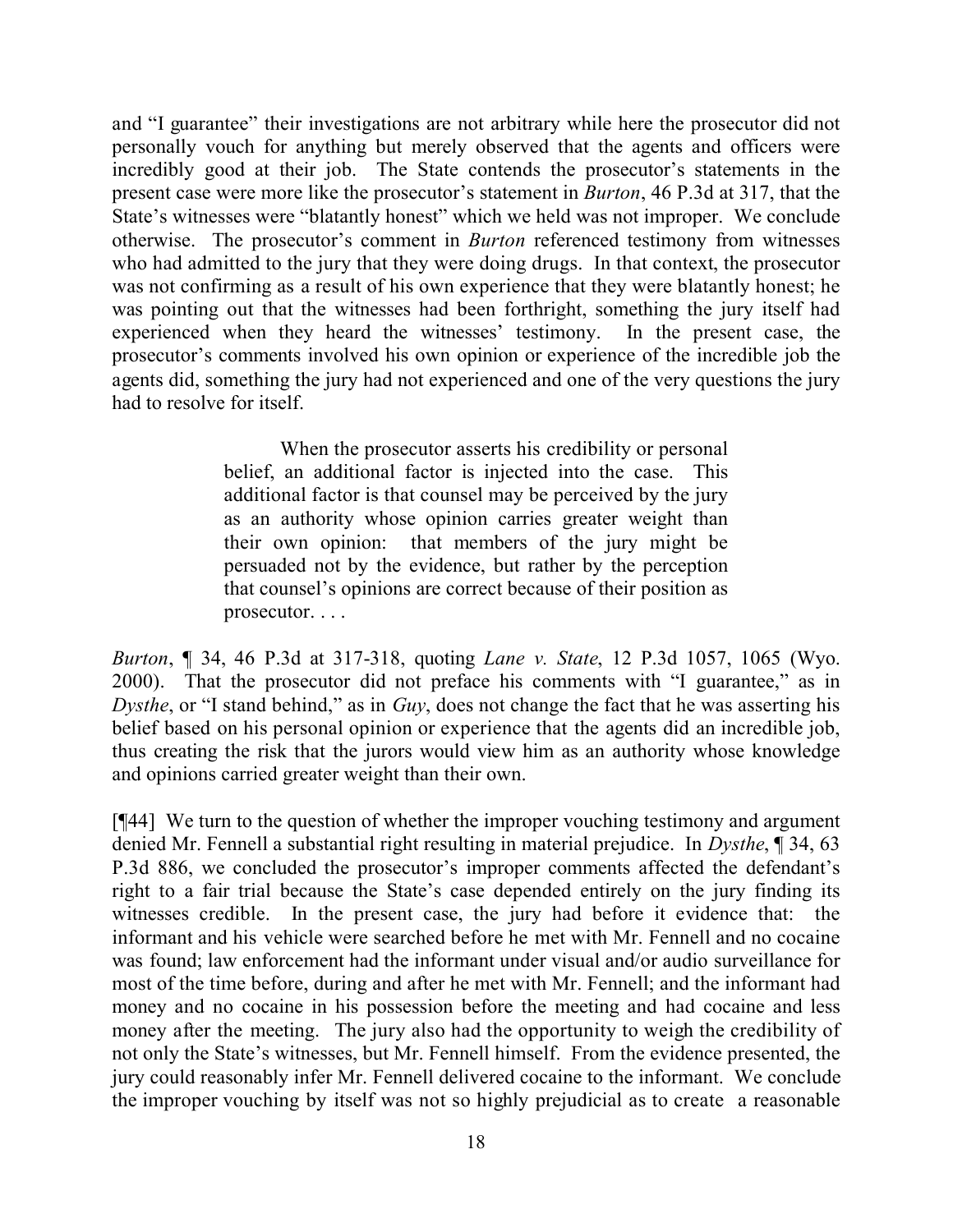and "I guarantee" their investigations are not arbitrary while here the prosecutor did not personally vouch for anything but merely observed that the agents and officers were incredibly good at their job. The State contends the prosecutor's statements in the present case were more like the prosecutor's statement in *Burton*, 46 P.3d at 317, that the State's witnesses were "blatantly honest" which we held was not improper. We conclude otherwise. The prosecutor's comment in *Burton* referenced testimony from witnesses who had admitted to the jury that they were doing drugs. In that context, the prosecutor was not confirming as a result of his own experience that they were blatantly honest; he was pointing out that the witnesses had been forthright, something the jury itself had experienced when they heard the witnesses' testimony. In the present case, the prosecutor's comments involved his own opinion or experience of the incredible job the agents did, something the jury had not experienced and one of the very questions the jury had to resolve for itself.

> When the prosecutor asserts his credibility or personal belief, an additional factor is injected into the case. This additional factor is that counsel may be perceived by the jury as an authority whose opinion carries greater weight than their own opinion: that members of the jury might be persuaded not by the evidence, but rather by the perception that counsel's opinions are correct because of their position as prosecutor. . . .

*Burton*, ¶ 34, 46 P.3d at 317-318, quoting *Lane v. State*, 12 P.3d 1057, 1065 (Wyo. 2000). That the prosecutor did not preface his comments with "I guarantee," as in *Dysthe*, or "I stand behind," as in *Guy*, does not change the fact that he was asserting his belief based on his personal opinion or experience that the agents did an incredible job, thus creating the risk that the jurors would view him as an authority whose knowledge and opinions carried greater weight than their own.

[¶44] We turn to the question of whether the improper vouching testimony and argument denied Mr. Fennell a substantial right resulting in material prejudice. In *Dysthe*, ¶ 34, 63 P.3d 886, we concluded the prosecutor's improper comments affected the defendant's right to a fair trial because the State's case depended entirely on the jury finding its witnesses credible. In the present case, the jury had before it evidence that: the informant and his vehicle were searched before he met with Mr. Fennell and no cocaine was found; law enforcement had the informant under visual and/or audio surveillance for most of the time before, during and after he met with Mr. Fennell; and the informant had money and no cocaine in his possession before the meeting and had cocaine and less money after the meeting. The jury also had the opportunity to weigh the credibility of not only the State's witnesses, but Mr. Fennell himself. From the evidence presented, the jury could reasonably infer Mr. Fennell delivered cocaine to the informant. We conclude the improper vouching by itself was not so highly prejudicial as to create a reasonable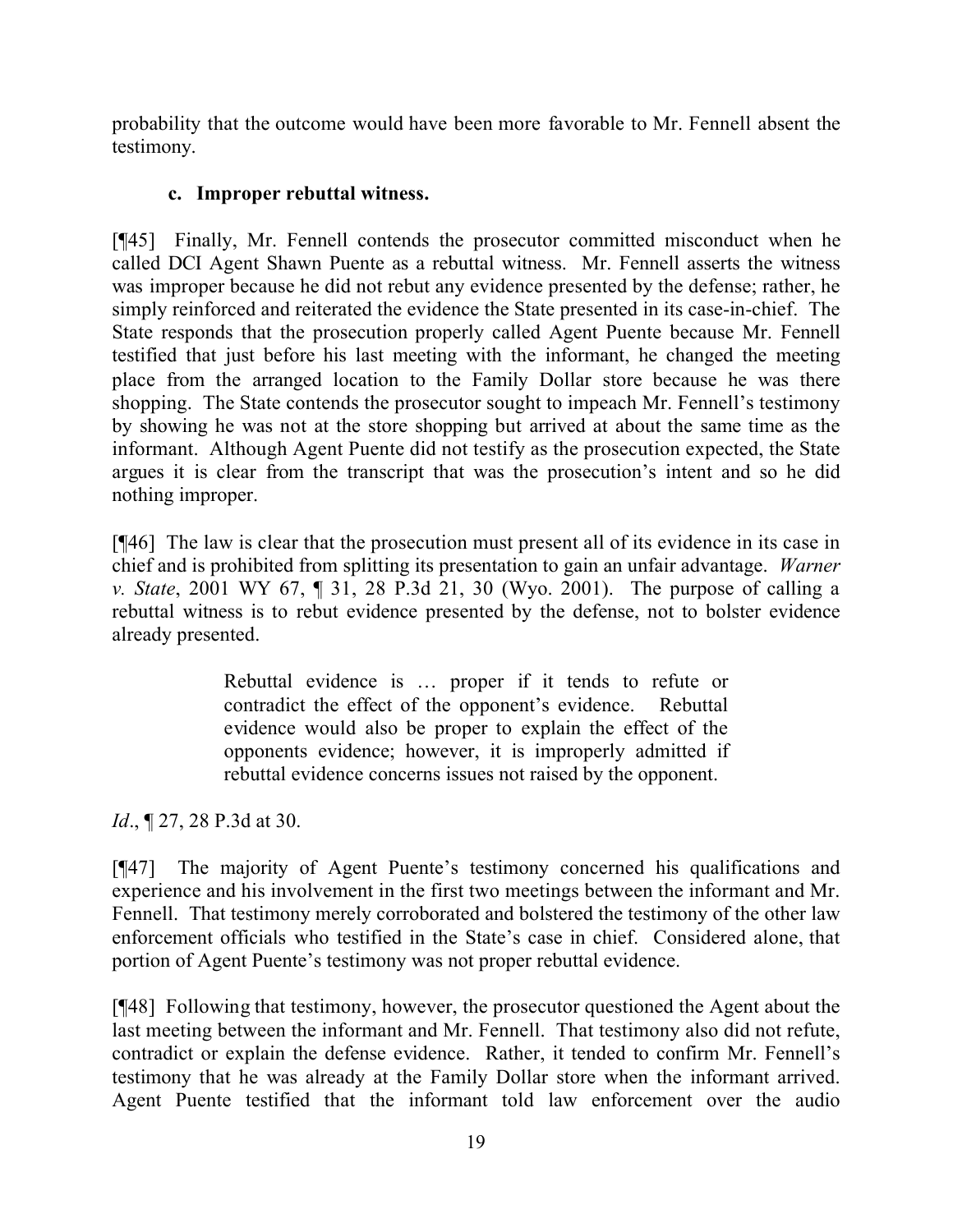probability that the outcome would have been more favorable to Mr. Fennell absent the testimony.

# **c. Improper rebuttal witness.**

[¶45] Finally, Mr. Fennell contends the prosecutor committed misconduct when he called DCI Agent Shawn Puente as a rebuttal witness. Mr. Fennell asserts the witness was improper because he did not rebut any evidence presented by the defense; rather, he simply reinforced and reiterated the evidence the State presented in its case-in-chief. The State responds that the prosecution properly called Agent Puente because Mr. Fennell testified that just before his last meeting with the informant, he changed the meeting place from the arranged location to the Family Dollar store because he was there shopping. The State contends the prosecutor sought to impeach Mr. Fennell's testimony by showing he was not at the store shopping but arrived at about the same time as the informant. Although Agent Puente did not testify as the prosecution expected, the State argues it is clear from the transcript that was the prosecution's intent and so he did nothing improper.

[¶46] The law is clear that the prosecution must present all of its evidence in its case in chief and is prohibited from splitting its presentation to gain an unfair advantage. *Warner v. State*, 2001 WY 67, ¶ 31, 28 P.3d 21, 30 (Wyo. 2001). The purpose of calling a rebuttal witness is to rebut evidence presented by the defense, not to bolster evidence already presented.

> Rebuttal evidence is … proper if it tends to refute or contradict the effect of the opponent's evidence. Rebuttal evidence would also be proper to explain the effect of the opponents evidence; however, it is improperly admitted if rebuttal evidence concerns issues not raised by the opponent.

*Id.*, **[27, 28 P.3d at 30.** 

[¶47] The majority of Agent Puente's testimony concerned his qualifications and experience and his involvement in the first two meetings between the informant and Mr. Fennell. That testimony merely corroborated and bolstered the testimony of the other law enforcement officials who testified in the State's case in chief. Considered alone, that portion of Agent Puente's testimony was not proper rebuttal evidence.

[¶48] Following that testimony, however, the prosecutor questioned the Agent about the last meeting between the informant and Mr. Fennell. That testimony also did not refute, contradict or explain the defense evidence. Rather, it tended to confirm Mr. Fennell's testimony that he was already at the Family Dollar store when the informant arrived. Agent Puente testified that the informant told law enforcement over the audio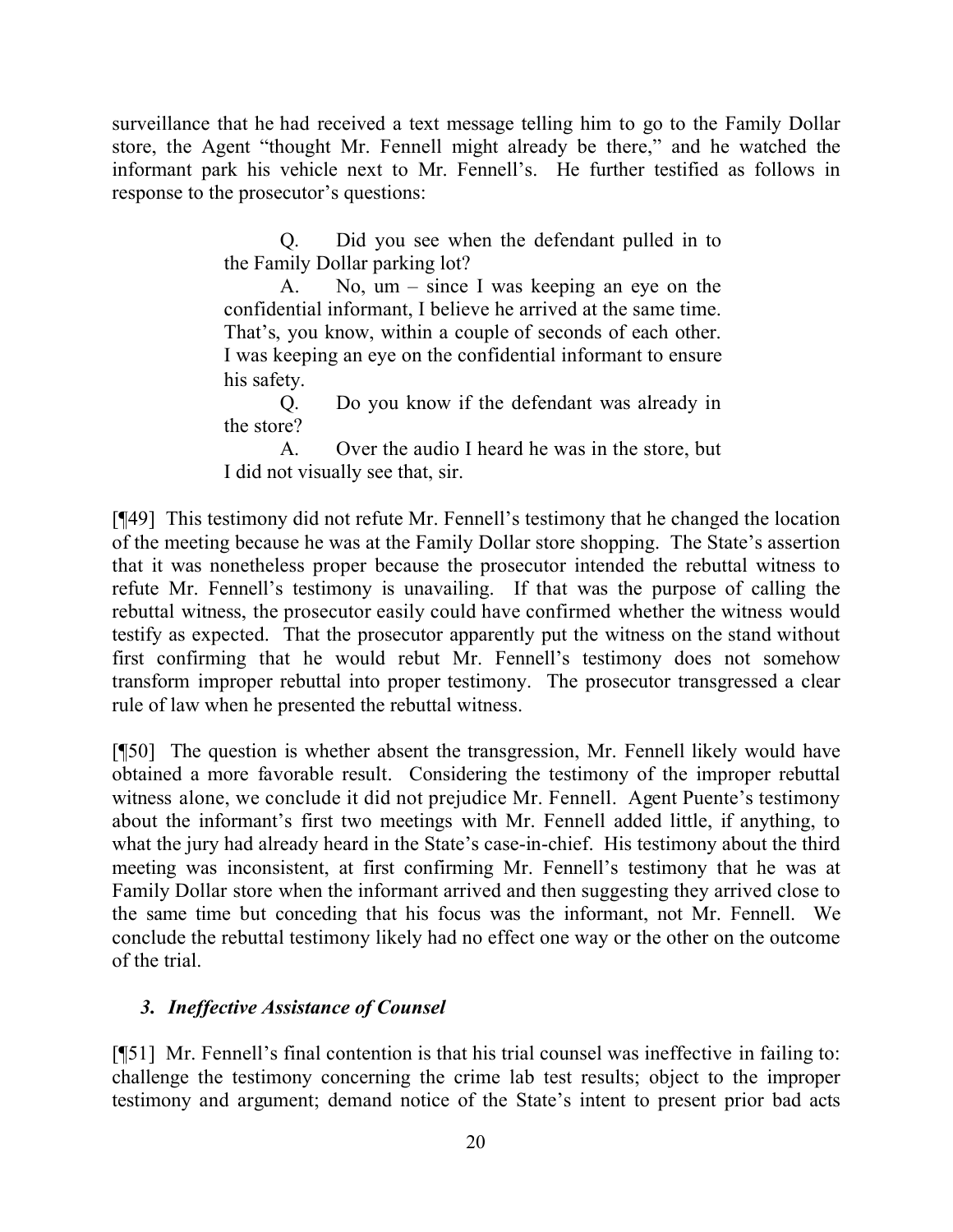surveillance that he had received a text message telling him to go to the Family Dollar store, the Agent "thought Mr. Fennell might already be there," and he watched the informant park his vehicle next to Mr. Fennell's. He further testified as follows in response to the prosecutor's questions:

> Q. Did you see when the defendant pulled in to the Family Dollar parking lot?

> A. No, um – since I was keeping an eye on the confidential informant, I believe he arrived at the same time. That's, you know, within a couple of seconds of each other. I was keeping an eye on the confidential informant to ensure his safety.

> Q. Do you know if the defendant was already in the store?

> A. Over the audio I heard he was in the store, but I did not visually see that, sir.

[¶49] This testimony did not refute Mr. Fennell's testimony that he changed the location of the meeting because he was at the Family Dollar store shopping. The State's assertion that it was nonetheless proper because the prosecutor intended the rebuttal witness to refute Mr. Fennell's testimony is unavailing. If that was the purpose of calling the rebuttal witness, the prosecutor easily could have confirmed whether the witness would testify as expected. That the prosecutor apparently put the witness on the stand without first confirming that he would rebut Mr. Fennell's testimony does not somehow transform improper rebuttal into proper testimony. The prosecutor transgressed a clear rule of law when he presented the rebuttal witness.

[¶50] The question is whether absent the transgression, Mr. Fennell likely would have obtained a more favorable result. Considering the testimony of the improper rebuttal witness alone, we conclude it did not prejudice Mr. Fennell. Agent Puente's testimony about the informant's first two meetings with Mr. Fennell added little, if anything, to what the jury had already heard in the State's case-in-chief. His testimony about the third meeting was inconsistent, at first confirming Mr. Fennell's testimony that he was at Family Dollar store when the informant arrived and then suggesting they arrived close to the same time but conceding that his focus was the informant, not Mr. Fennell. We conclude the rebuttal testimony likely had no effect one way or the other on the outcome of the trial.

# *3. Ineffective Assistance of Counsel*

[¶51] Mr. Fennell's final contention is that his trial counsel was ineffective in failing to: challenge the testimony concerning the crime lab test results; object to the improper testimony and argument; demand notice of the State's intent to present prior bad acts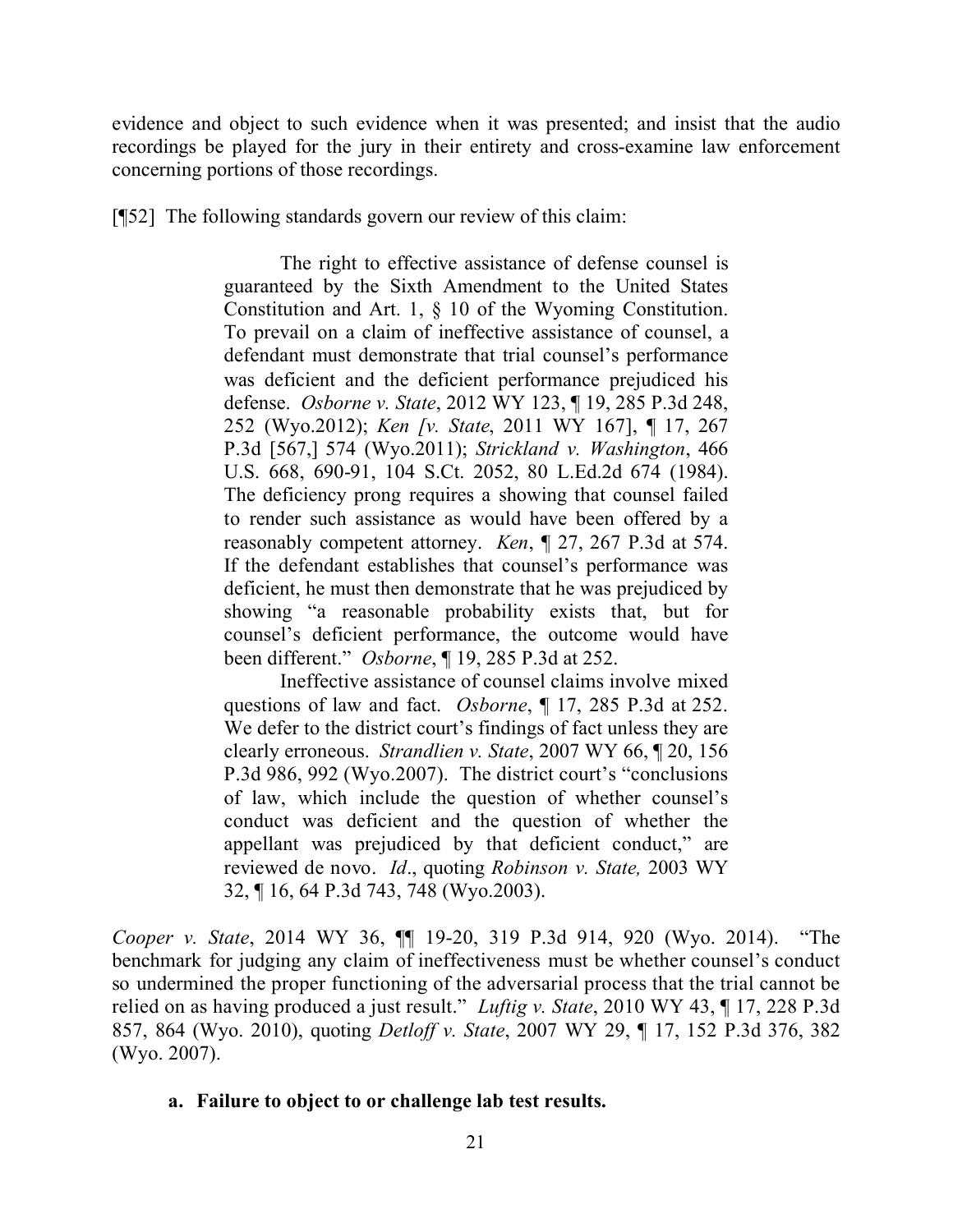evidence and object to such evidence when it was presented; and insist that the audio recordings be played for the jury in their entirety and cross-examine law enforcement concerning portions of those recordings.

[¶52] The following standards govern our review of this claim:

The right to effective assistance of defense counsel is guaranteed by the Sixth Amendment to the United States Constitution and Art. 1, § 10 of the Wyoming Constitution. To prevail on a claim of ineffective assistance of counsel, a defendant must demonstrate that trial counsel's performance was deficient and the deficient performance prejudiced his defense. *Osborne v. State*, 2012 WY 123, ¶ 19, 285 P.3d 248, 252 (Wyo.2012); *Ken [v. State*, 2011 WY 167], ¶ 17, 267 P.3d [567,] 574 (Wyo.2011); *Strickland v. Washington*, 466 U.S. 668, 690-91, 104 S.Ct. 2052, 80 L.Ed.2d 674 (1984). The deficiency prong requires a showing that counsel failed to render such assistance as would have been offered by a reasonably competent attorney. *Ken*, ¶ 27, 267 P.3d at 574. If the defendant establishes that counsel's performance was deficient, he must then demonstrate that he was prejudiced by showing "a reasonable probability exists that, but for counsel's deficient performance, the outcome would have been different." *Osborne*, ¶ 19, 285 P.3d at 252.

Ineffective assistance of counsel claims involve mixed questions of law and fact. *Osborne*, ¶ 17, 285 P.3d at 252. We defer to the district court's findings of fact unless they are clearly erroneous. *Strandlien v. State*, 2007 WY 66, ¶ 20, 156 P.3d 986, 992 (Wyo.2007). The district court's "conclusions of law, which include the question of whether counsel's conduct was deficient and the question of whether the appellant was prejudiced by that deficient conduct," are reviewed de novo. *Id*., quoting *Robinson v. State,* 2003 WY 32, ¶ 16, 64 P.3d 743, 748 (Wyo.2003).

*Cooper v. State*, 2014 WY 36, ¶¶ 19-20, 319 P.3d 914, 920 (Wyo. 2014). "The benchmark for judging any claim of ineffectiveness must be whether counsel's conduct so undermined the proper functioning of the adversarial process that the trial cannot be relied on as having produced a just result." *Luftig v. State*, 2010 WY 43, ¶ 17, 228 P.3d 857, 864 (Wyo. 2010), quoting *Detloff v. State*, 2007 WY 29, ¶ 17, 152 P.3d 376, 382 (Wyo. 2007).

### **a. Failure to object to or challenge lab test results.**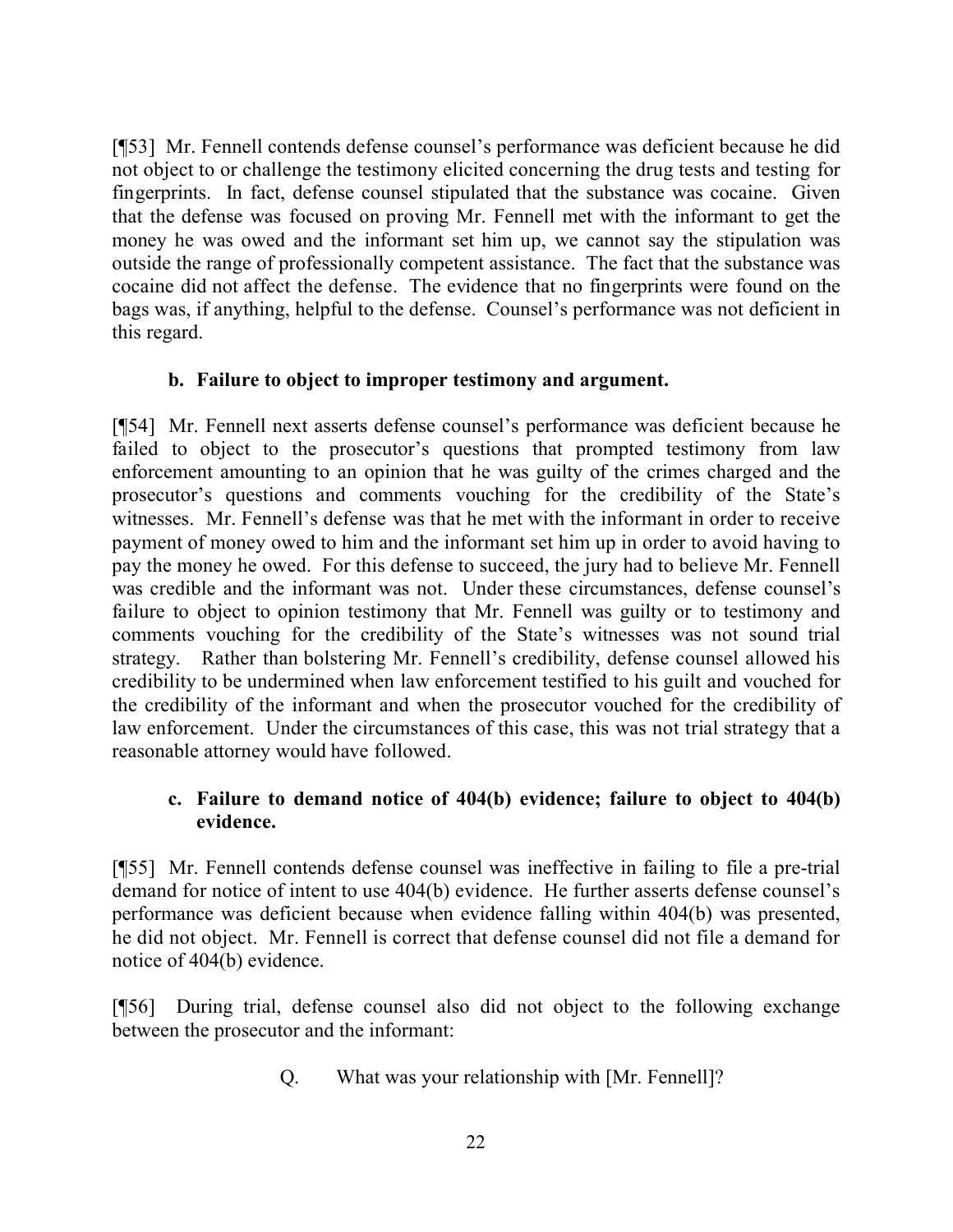[¶53] Mr. Fennell contends defense counsel's performance was deficient because he did not object to or challenge the testimony elicited concerning the drug tests and testing for fingerprints. In fact, defense counsel stipulated that the substance was cocaine. Given that the defense was focused on proving Mr. Fennell met with the informant to get the money he was owed and the informant set him up, we cannot say the stipulation was outside the range of professionally competent assistance. The fact that the substance was cocaine did not affect the defense. The evidence that no fingerprints were found on the bags was, if anything, helpful to the defense. Counsel's performance was not deficient in this regard.

### **b. Failure to object to improper testimony and argument.**

[¶54] Mr. Fennell next asserts defense counsel's performance was deficient because he failed to object to the prosecutor's questions that prompted testimony from law enforcement amounting to an opinion that he was guilty of the crimes charged and the prosecutor's questions and comments vouching for the credibility of the State's witnesses. Mr. Fennell's defense was that he met with the informant in order to receive payment of money owed to him and the informant set him up in order to avoid having to pay the money he owed. For this defense to succeed, the jury had to believe Mr. Fennell was credible and the informant was not. Under these circumstances, defense counsel's failure to object to opinion testimony that Mr. Fennell was guilty or to testimony and comments vouching for the credibility of the State's witnesses was not sound trial strategy. Rather than bolstering Mr. Fennell's credibility, defense counsel allowed his credibility to be undermined when law enforcement testified to his guilt and vouched for the credibility of the informant and when the prosecutor vouched for the credibility of law enforcement. Under the circumstances of this case, this was not trial strategy that a reasonable attorney would have followed.

# **c. Failure to demand notice of 404(b) evidence; failure to object to 404(b) evidence.**

[¶55] Mr. Fennell contends defense counsel was ineffective in failing to file a pre-trial demand for notice of intent to use 404(b) evidence. He further asserts defense counsel's performance was deficient because when evidence falling within 404(b) was presented, he did not object. Mr. Fennell is correct that defense counsel did not file a demand for notice of 404(b) evidence.

[¶56] During trial, defense counsel also did not object to the following exchange between the prosecutor and the informant:

Q. What was your relationship with [Mr. Fennell]?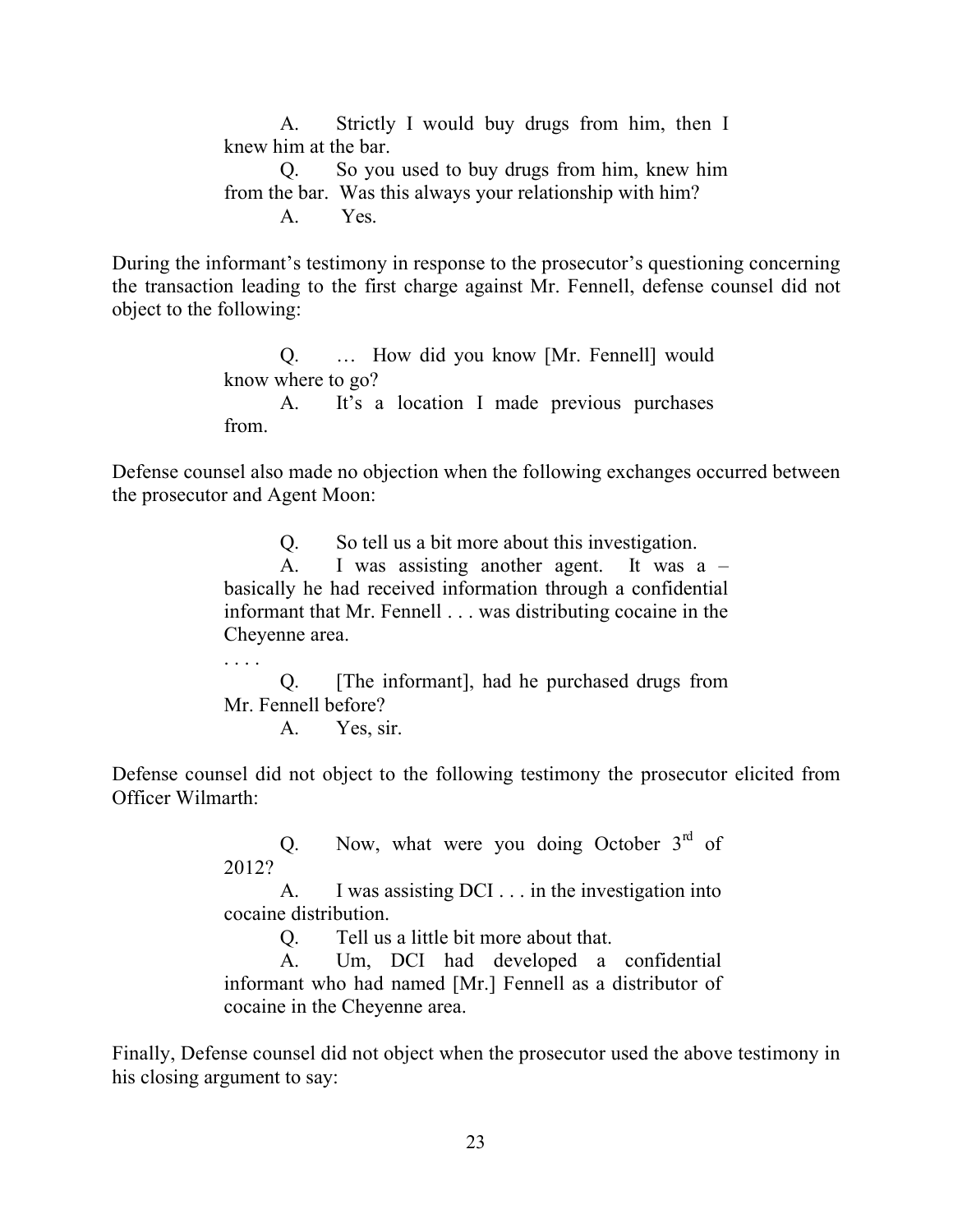A. Strictly I would buy drugs from him, then I knew him at the bar. Q. So you used to buy drugs from him, knew him from the bar. Was this always your relationship with him? A. Yes.

During the informant's testimony in response to the prosecutor's questioning concerning the transaction leading to the first charge against Mr. Fennell, defense counsel did not object to the following:

> Q. … How did you know [Mr. Fennell] would know where to go? A. It's a location I made previous purchases from.

Defense counsel also made no objection when the following exchanges occurred between the prosecutor and Agent Moon:

Q. So tell us a bit more about this investigation.

A. I was assisting another agent. It was a – basically he had received information through a confidential informant that Mr. Fennell . . . was distributing cocaine in the Cheyenne area.

Q. [The informant], had he purchased drugs from Mr. Fennell before?

A. Yes, sir.

. . . .

Defense counsel did not object to the following testimony the prosecutor elicited from Officer Wilmarth:

> Q. Now, what were you doing October  $3<sup>rd</sup>$  of 2012?

> A. I was assisting DCI . . . in the investigation into cocaine distribution.

> > Q. Tell us a little bit more about that.

A. Um, DCI had developed a confidential informant who had named [Mr.] Fennell as a distributor of cocaine in the Cheyenne area.

Finally, Defense counsel did not object when the prosecutor used the above testimony in his closing argument to say: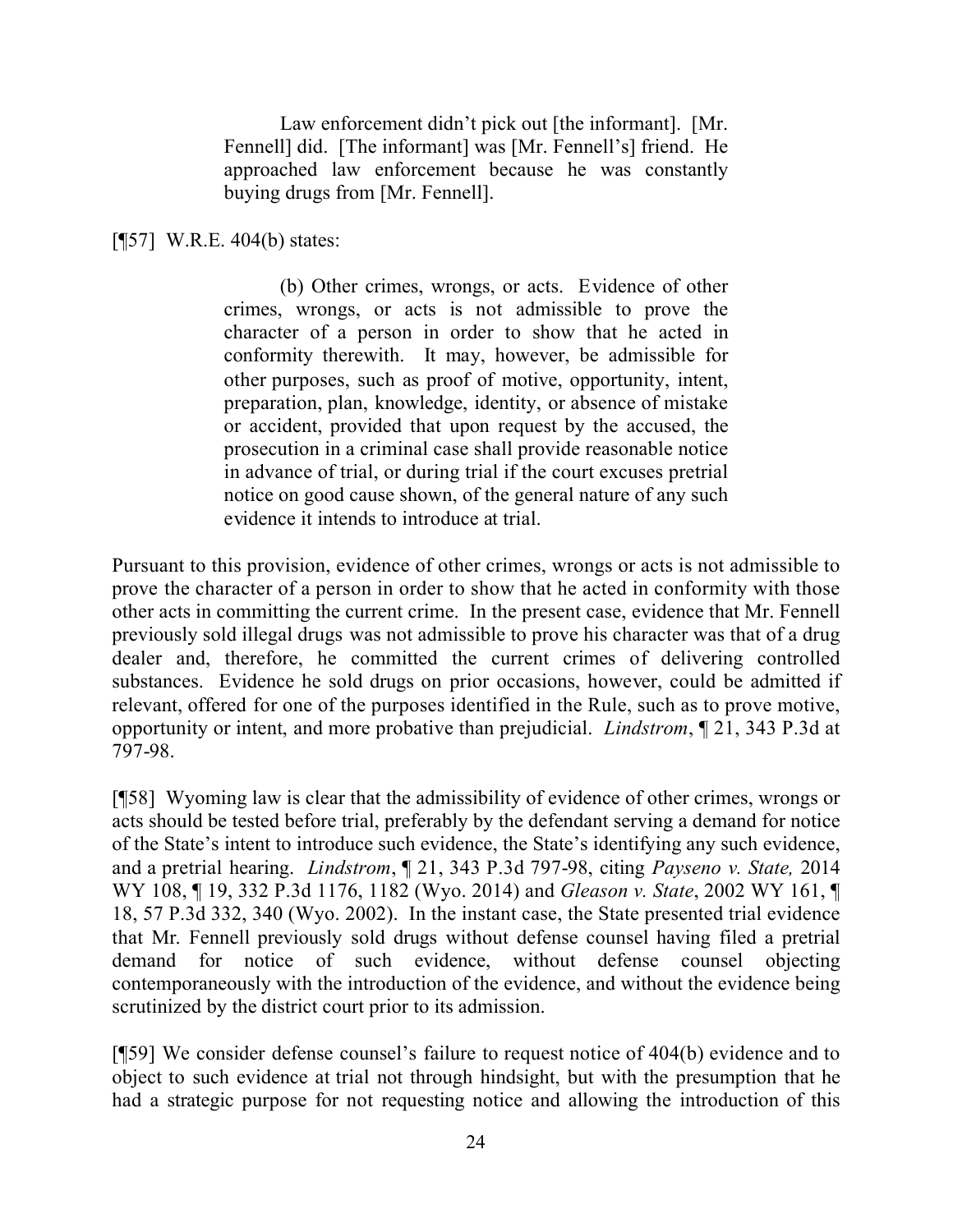Law enforcement didn't pick out [the informant]. [Mr. Fennell] did. [The informant] was [Mr. Fennell's] friend. He approached law enforcement because he was constantly buying drugs from [Mr. Fennell].

[¶57] W.R.E. 404(b) states:

(b) Other crimes, wrongs, or acts. Evidence of other crimes, wrongs, or acts is not admissible to prove the character of a person in order to show that he acted in conformity therewith. It may, however, be admissible for other purposes, such as proof of motive, opportunity, intent, preparation, plan, knowledge, identity, or absence of mistake or accident, provided that upon request by the accused, the prosecution in a criminal case shall provide reasonable notice in advance of trial, or during trial if the court excuses pretrial notice on good cause shown, of the general nature of any such evidence it intends to introduce at trial.

Pursuant to this provision, evidence of other crimes, wrongs or acts is not admissible to prove the character of a person in order to show that he acted in conformity with those other acts in committing the current crime. In the present case, evidence that Mr. Fennell previously sold illegal drugs was not admissible to prove his character was that of a drug dealer and, therefore, he committed the current crimes of delivering controlled substances. Evidence he sold drugs on prior occasions, however, could be admitted if relevant, offered for one of the purposes identified in the Rule, such as to prove motive, opportunity or intent, and more probative than prejudicial. *Lindstrom*, ¶ 21, 343 P.3d at 797-98.

[¶58] Wyoming law is clear that the admissibility of evidence of other crimes, wrongs or acts should be tested before trial, preferably by the defendant serving a demand for notice of the State's intent to introduce such evidence, the State's identifying any such evidence, and a pretrial hearing. *Lindstrom*, ¶ 21, 343 P.3d 797-98, citing *Payseno v. State,* 2014 WY 108, ¶ 19, 332 P.3d 1176, 1182 (Wyo. 2014) and *Gleason v. State*, 2002 WY 161, ¶ 18, 57 P.3d 332, 340 (Wyo. 2002). In the instant case, the State presented trial evidence that Mr. Fennell previously sold drugs without defense counsel having filed a pretrial demand for notice of such evidence, without defense counsel objecting contemporaneously with the introduction of the evidence, and without the evidence being scrutinized by the district court prior to its admission.

[¶59] We consider defense counsel's failure to request notice of 404(b) evidence and to object to such evidence at trial not through hindsight, but with the presumption that he had a strategic purpose for not requesting notice and allowing the introduction of this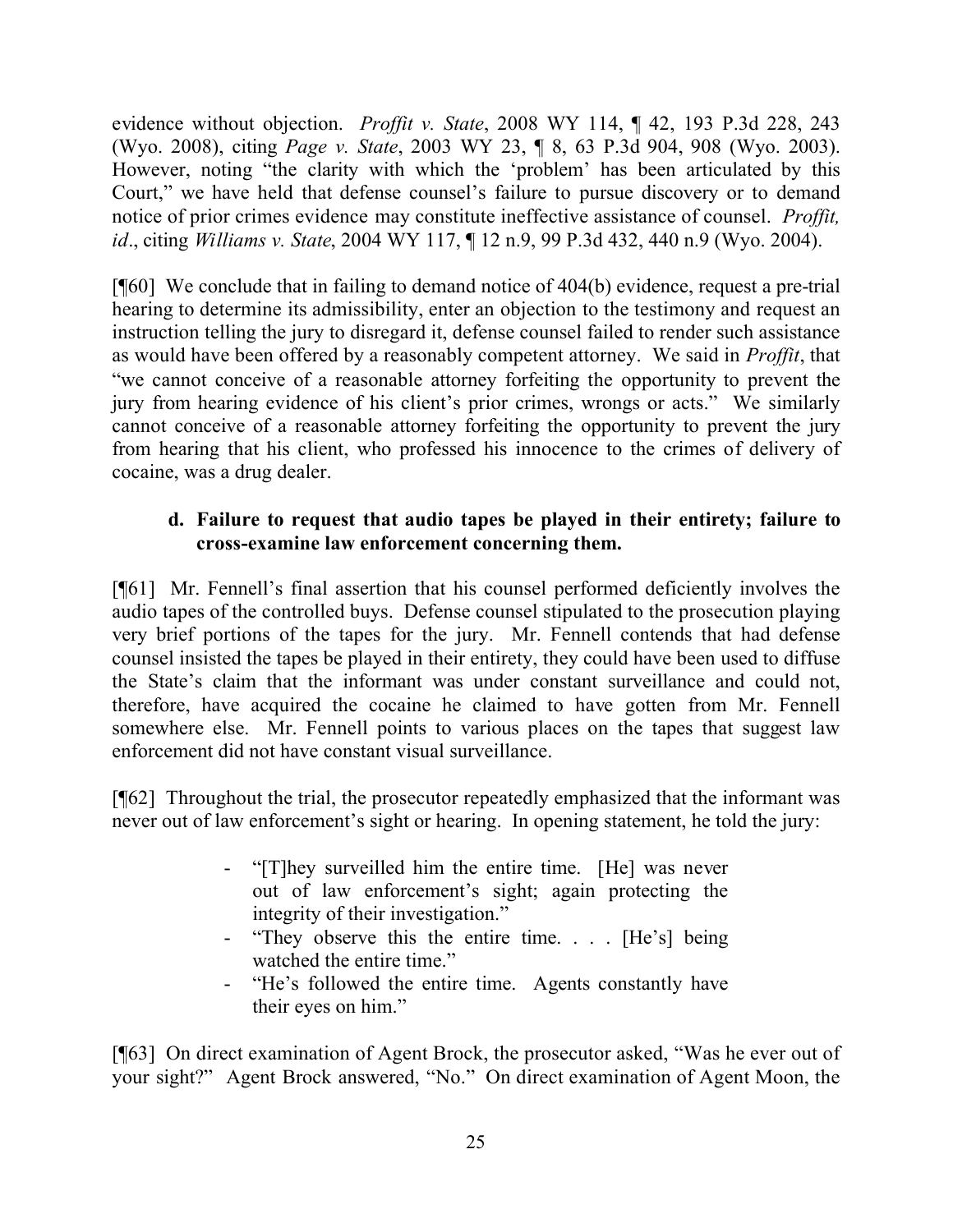evidence without objection. *Proffit v. State*, 2008 WY 114, ¶ 42, 193 P.3d 228, 243 (Wyo. 2008), citing *Page v. State*, 2003 WY 23, ¶ 8, 63 P.3d 904, 908 (Wyo. 2003). However, noting "the clarity with which the 'problem' has been articulated by this Court," we have held that defense counsel's failure to pursue discovery or to demand notice of prior crimes evidence may constitute ineffective assistance of counsel. *Proffit, id*., citing *Williams v. State*, 2004 WY 117, ¶ 12 n.9, 99 P.3d 432, 440 n.9 (Wyo. 2004).

[¶60] We conclude that in failing to demand notice of 404(b) evidence, request a pre-trial hearing to determine its admissibility, enter an objection to the testimony and request an instruction telling the jury to disregard it, defense counsel failed to render such assistance as would have been offered by a reasonably competent attorney. We said in *Proffit*, that "we cannot conceive of a reasonable attorney forfeiting the opportunity to prevent the jury from hearing evidence of his client's prior crimes, wrongs or acts." We similarly cannot conceive of a reasonable attorney forfeiting the opportunity to prevent the jury from hearing that his client, who professed his innocence to the crimes of delivery of cocaine, was a drug dealer.

# **d. Failure to request that audio tapes be played in their entirety; failure to cross-examine law enforcement concerning them.**

[¶61] Mr. Fennell's final assertion that his counsel performed deficiently involves the audio tapes of the controlled buys. Defense counsel stipulated to the prosecution playing very brief portions of the tapes for the jury. Mr. Fennell contends that had defense counsel insisted the tapes be played in their entirety, they could have been used to diffuse the State's claim that the informant was under constant surveillance and could not, therefore, have acquired the cocaine he claimed to have gotten from Mr. Fennell somewhere else. Mr. Fennell points to various places on the tapes that suggest law enforcement did not have constant visual surveillance.

[¶62] Throughout the trial, the prosecutor repeatedly emphasized that the informant was never out of law enforcement's sight or hearing. In opening statement, he told the jury:

- "[T]hey surveilled him the entire time. [He] was never out of law enforcement's sight; again protecting the integrity of their investigation."
- "They observe this the entire time. . . . [He's] being watched the entire time."
- "He's followed the entire time. Agents constantly have their eyes on him."

[¶63] On direct examination of Agent Brock, the prosecutor asked, "Was he ever out of your sight?" Agent Brock answered, "No." On direct examination of Agent Moon, the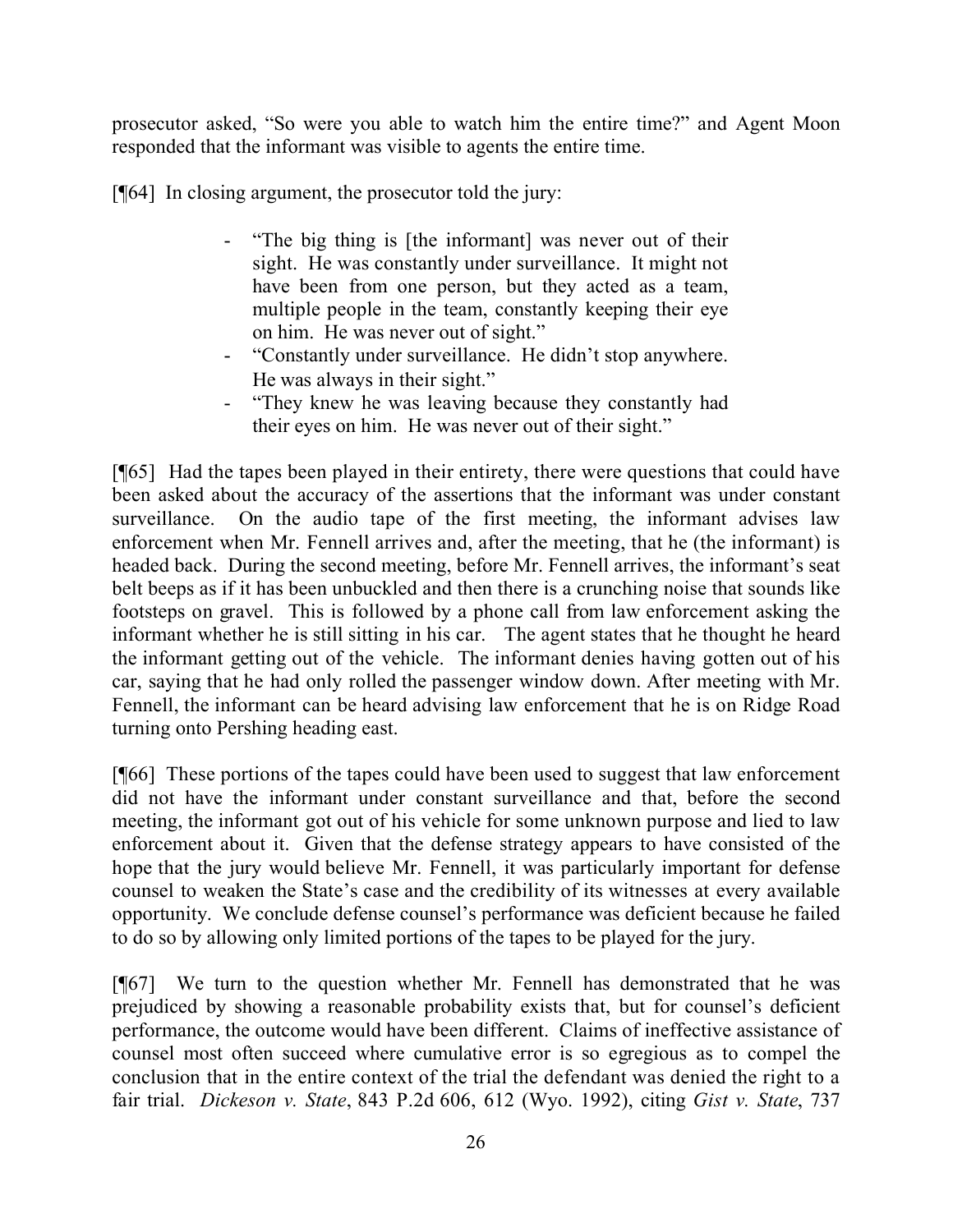prosecutor asked, "So were you able to watch him the entire time?" and Agent Moon responded that the informant was visible to agents the entire time.

[¶64] In closing argument, the prosecutor told the jury:

- "The big thing is [the informant] was never out of their sight. He was constantly under surveillance. It might not have been from one person, but they acted as a team, multiple people in the team, constantly keeping their eye on him. He was never out of sight."
- "Constantly under surveillance. He didn't stop anywhere. He was always in their sight."
- "They knew he was leaving because they constantly had their eyes on him. He was never out of their sight."

[¶65] Had the tapes been played in their entirety, there were questions that could have been asked about the accuracy of the assertions that the informant was under constant surveillance. On the audio tape of the first meeting, the informant advises law enforcement when Mr. Fennell arrives and, after the meeting, that he (the informant) is headed back. During the second meeting, before Mr. Fennell arrives, the informant's seat belt beeps as if it has been unbuckled and then there is a crunching noise that sounds like footsteps on gravel. This is followed by a phone call from law enforcement asking the informant whether he is still sitting in his car. The agent states that he thought he heard the informant getting out of the vehicle. The informant denies having gotten out of his car, saying that he had only rolled the passenger window down. After meeting with Mr. Fennell, the informant can be heard advising law enforcement that he is on Ridge Road turning onto Pershing heading east.

[¶66] These portions of the tapes could have been used to suggest that law enforcement did not have the informant under constant surveillance and that, before the second meeting, the informant got out of his vehicle for some unknown purpose and lied to law enforcement about it. Given that the defense strategy appears to have consisted of the hope that the jury would believe Mr. Fennell, it was particularly important for defense counsel to weaken the State's case and the credibility of its witnesses at every available opportunity. We conclude defense counsel's performance was deficient because he failed to do so by allowing only limited portions of the tapes to be played for the jury.

[¶67] We turn to the question whether Mr. Fennell has demonstrated that he was prejudiced by showing a reasonable probability exists that, but for counsel's deficient performance, the outcome would have been different. Claims of ineffective assistance of counsel most often succeed where cumulative error is so egregious as to compel the conclusion that in the entire context of the trial the defendant was denied the right to a fair trial. *Dickeson v. State*, 843 P.2d 606, 612 (Wyo. 1992), citing *Gist v. State*, 737